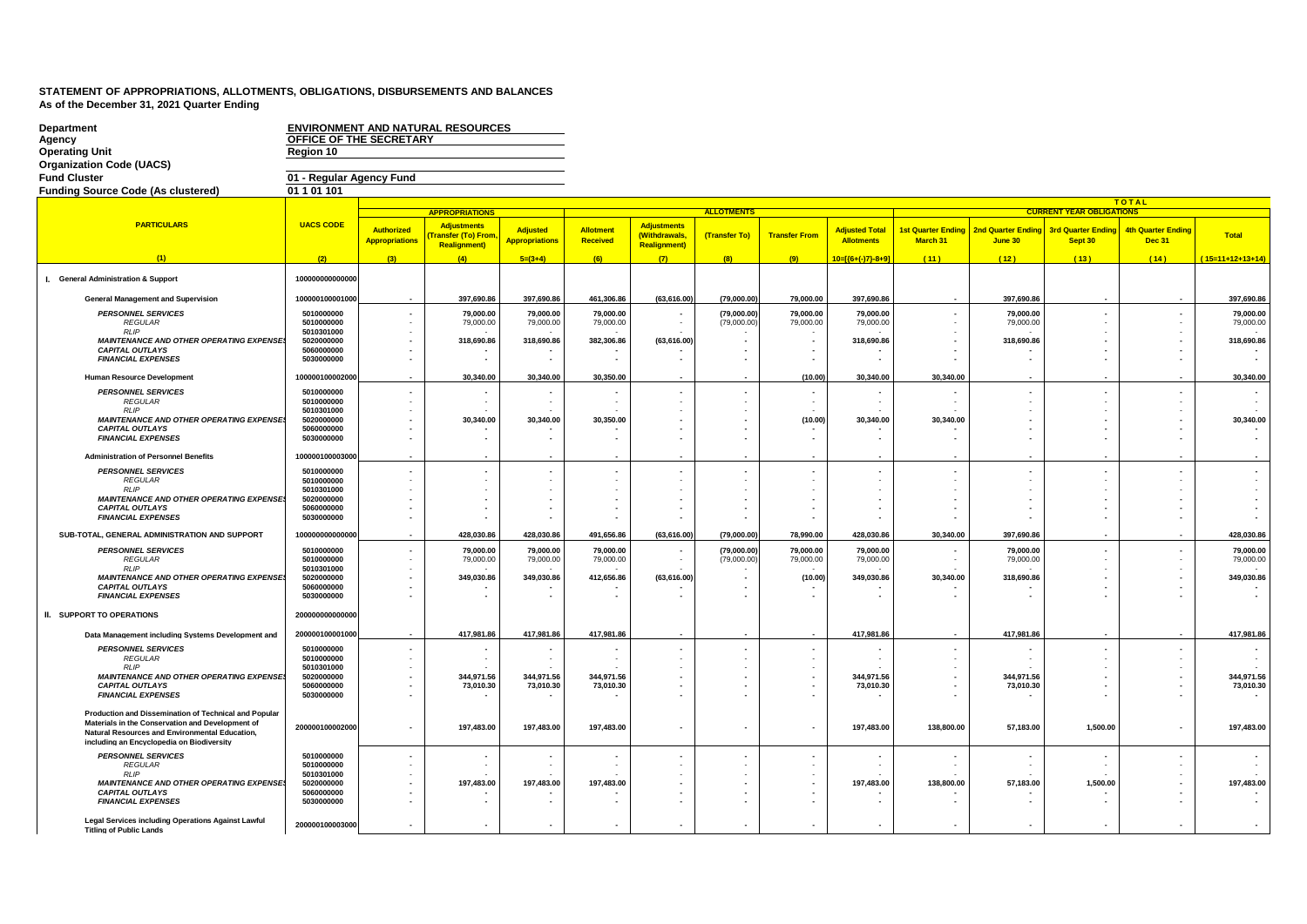| <b>Department</b><br>Agency<br><b>Operating Unit</b><br><b>Organization Code (UACS)</b><br><b>Fund Cluster</b>                                                                                           | OFFICE OF THE SECRETARY<br>Region 10<br>01 - Regular Agency Fund |                                     | <b>ENVIRONMENT AND NATURAL RESOURCES</b>                         |                                          |                              |                                                            |                   |                          |                                            |                                       |                                            |                                      |                                            |                    |
|----------------------------------------------------------------------------------------------------------------------------------------------------------------------------------------------------------|------------------------------------------------------------------|-------------------------------------|------------------------------------------------------------------|------------------------------------------|------------------------------|------------------------------------------------------------|-------------------|--------------------------|--------------------------------------------|---------------------------------------|--------------------------------------------|--------------------------------------|--------------------------------------------|--------------------|
| <b>Funding Source Code (As clustered)</b>                                                                                                                                                                | 01 1 01 101                                                      |                                     |                                                                  |                                          |                              |                                                            |                   |                          |                                            |                                       |                                            |                                      |                                            |                    |
|                                                                                                                                                                                                          |                                                                  |                                     |                                                                  |                                          |                              |                                                            |                   |                          |                                            |                                       |                                            |                                      | <b>TOTAL</b>                               |                    |
| <b>PARTICULARS</b>                                                                                                                                                                                       |                                                                  |                                     | <b>APPROPRIATIONS</b>                                            |                                          |                              |                                                            | <b>ALLOTMENTS</b> |                          |                                            |                                       |                                            | <b>CURRENT YEAR OBLIGATIONS</b>      |                                            |                    |
|                                                                                                                                                                                                          | <b>UACS CODE</b>                                                 | Authorized<br><b>Appropriations</b> | <b>Adjustments</b><br>ransfer (To) From,<br><b>Realignment</b> ) | <b>Adjusted</b><br><b>Appropriations</b> | Allotment<br><b>Received</b> | <b>Adjustments</b><br>(Withdrawals<br><b>Realignment</b> ) | (Transfer To)     | <b>Transfer From</b>     | <b>Adjusted Total</b><br><b>Allotments</b> | <b>1st Quarter Ending</b><br>March 31 | <b>2nd Quarter Ending</b><br>June 30       | <b>3rd Quarter Ending</b><br>Sept 30 | <b>4th Quarter Ending</b><br><b>Dec 31</b> | <b>Total</b>       |
| (1)                                                                                                                                                                                                      | (2)                                                              | (3)                                 | (4)                                                              | $5=(3+4)$                                | (6)                          | (7)                                                        | (8)               | (9)                      | 10=[{6+(-)7}-8+9]                          | (11)                                  | (12)                                       | (13)                                 | (14)                                       | $(15=11+12+13+14)$ |
| I. General Administration & Support                                                                                                                                                                      | 100000000000000                                                  |                                     |                                                                  |                                          |                              |                                                            |                   |                          |                                            |                                       |                                            |                                      |                                            |                    |
| <b>General Management and Supervision</b>                                                                                                                                                                | 100000100001000                                                  |                                     | 397.690.86                                                       | 397,690.86                               | 461.306.86                   | (63.616.00                                                 | (79,000.00)       | 79.000.00                | 397,690.86                                 |                                       | 397.690.86                                 |                                      |                                            | 397.690.86         |
| <b>PERSONNEL SERVICES</b>                                                                                                                                                                                | 5010000000                                                       |                                     | 79.000.00                                                        | 79.000.00                                | 79.000.00                    |                                                            | (79.000.00)       | 79.000.00                | 79.000.00                                  |                                       | 79.000.00                                  |                                      |                                            | 79.000.00          |
| <b>REGULAR</b><br><b>RLIP</b>                                                                                                                                                                            | 5010000000<br>5010301000                                         |                                     | 79,000.00                                                        | 79,000.00                                | 79,000.00                    |                                                            | (79,000.00)       | 79,000.00                | 79,000.00                                  |                                       | 79,000.00                                  |                                      |                                            | 79,000.00          |
| MAINTENANCE AND OTHER OPERATING EXPENSE                                                                                                                                                                  | 5020000000                                                       |                                     | 318,690.86                                                       | 318,690.86                               | 382,306.86                   | (63,616.00                                                 |                   | $\overline{\phantom{a}}$ | 318,690.86                                 | $\overline{a}$                        | 318,690.86                                 |                                      |                                            | 318,690.86         |
| <b>CAPITAL OUTLAYS</b><br><b>FINANCIAL EXPENSES</b>                                                                                                                                                      | 5060000000<br>5030000000                                         |                                     |                                                                  |                                          |                              |                                                            |                   |                          |                                            |                                       | ٠                                          |                                      |                                            |                    |
|                                                                                                                                                                                                          |                                                                  |                                     |                                                                  |                                          |                              |                                                            |                   |                          |                                            |                                       |                                            |                                      |                                            |                    |
| <b>Human Resource Development</b>                                                                                                                                                                        | 100000100002000                                                  |                                     | 30,340.00                                                        | 30,340.00                                | 30,350.00                    |                                                            |                   | (10.00)                  | 30,340.00                                  | 30,340.00                             |                                            |                                      |                                            | 30,340.00          |
| <b>PERSONNEL SERVICES</b><br><b>REGULAR</b>                                                                                                                                                              | 5010000000<br>5010000000                                         |                                     |                                                                  |                                          |                              |                                                            |                   |                          |                                            |                                       | $\blacksquare$<br>$\mathcal{L}$            |                                      |                                            |                    |
| <b>RLIP</b>                                                                                                                                                                                              | 5010301000                                                       |                                     |                                                                  |                                          |                              |                                                            |                   |                          |                                            |                                       |                                            |                                      |                                            |                    |
| MAINTENANCE AND OTHER OPERATING EXPENSE<br><b>CAPITAL OUTLAYS</b>                                                                                                                                        | 5020000000<br>5060000000                                         |                                     | 30,340.00                                                        | 30,340.00                                | 30,350.00                    |                                                            |                   | (10.00)                  | 30,340.00                                  | 30,340.00                             | $\blacksquare$<br>$\overline{\phantom{a}}$ |                                      |                                            | 30,340.00          |
| <b>FINANCIAL EXPENSES</b>                                                                                                                                                                                | 5030000000                                                       |                                     |                                                                  |                                          |                              |                                                            |                   |                          |                                            | $\blacksquare$                        | $\overline{\phantom{a}}$                   |                                      |                                            |                    |
| <b>Administration of Personnel Benefits</b>                                                                                                                                                              | 10000010000300                                                   |                                     |                                                                  |                                          |                              |                                                            |                   |                          |                                            |                                       |                                            |                                      |                                            |                    |
| <b>PERSONNEL SERVICES</b>                                                                                                                                                                                | 5010000000                                                       |                                     |                                                                  |                                          |                              |                                                            |                   |                          |                                            |                                       | $\blacksquare$                             |                                      |                                            |                    |
| <b>REGULAR</b>                                                                                                                                                                                           | 5010000000                                                       |                                     |                                                                  |                                          |                              |                                                            |                   |                          |                                            |                                       | $\sim$                                     |                                      |                                            |                    |
| <b>RLIP</b>                                                                                                                                                                                              | 5010301000                                                       |                                     |                                                                  |                                          |                              |                                                            |                   |                          |                                            |                                       |                                            |                                      |                                            |                    |
| MAINTENANCE AND OTHER OPERATING EXPENSE<br><b>CAPITAL OUTLAYS</b>                                                                                                                                        | 5020000000<br>5060000000                                         |                                     |                                                                  |                                          |                              |                                                            |                   |                          |                                            | $\overline{\phantom{a}}$              | $\sim$<br>$\overline{\phantom{a}}$         |                                      |                                            |                    |
| <b>FINANCIAL EXPENSES</b>                                                                                                                                                                                | 5030000000                                                       |                                     |                                                                  |                                          |                              |                                                            |                   |                          |                                            |                                       |                                            |                                      |                                            |                    |
| SUB-TOTAL, GENERAL ADMINISTRATION AND SUPPORT                                                                                                                                                            | 10000000000000                                                   |                                     | 428,030.86                                                       | 428,030.86                               | 491,656.86                   | (63, 616.00)                                               | (79,000.00)       | 78,990.00                | 428,030.86                                 | 30,340.00                             | 397,690.86                                 |                                      |                                            | 428,030.86         |
| <b>PERSONNEL SERVICES</b>                                                                                                                                                                                | 5010000000                                                       |                                     | 79,000.00                                                        | 79,000.00                                | 79,000.00                    |                                                            | (79,000.00)       | 79,000.00                | 79,000.00                                  |                                       | 79,000.00                                  |                                      |                                            | 79,000.00          |
| <b>REGULAR</b>                                                                                                                                                                                           | 5010000000                                                       |                                     | 79,000.00                                                        | 79,000.00                                | 79,000.00                    |                                                            | (79,000.00)       | 79,000.00                | 79,000.00                                  |                                       | 79,000.00                                  |                                      |                                            | 79,000.00          |
| <b>RLIP</b><br><b>MAINTENANCE AND OTHER OPERATING EXPENSE</b>                                                                                                                                            | 5010301000<br>5020000000                                         |                                     | 349,030.86                                                       | 349.030.86                               | 412.656.86                   | (63, 616.00)                                               |                   | (10.00)                  | 349.030.86                                 | 30.340.00                             | 318,690.86                                 |                                      |                                            | 349,030.86         |
| <b>CAPITAL OUTLAYS</b><br><b>FINANCIAL EXPENSES</b>                                                                                                                                                      | 5060000000<br>5030000000                                         |                                     |                                                                  |                                          |                              |                                                            |                   |                          |                                            |                                       | $\overline{\phantom{a}}$                   |                                      |                                            |                    |
| II. SUPPORT TO OPERATIONS                                                                                                                                                                                | 200000000000000                                                  |                                     |                                                                  |                                          |                              |                                                            |                   |                          |                                            |                                       |                                            |                                      |                                            |                    |
| Data Management including Systems Development and                                                                                                                                                        | 200000100001000                                                  |                                     | 417,981.86                                                       | 417,981.86                               | 417,981.86                   |                                                            |                   |                          | 417,981.86                                 |                                       | 417,981.86                                 |                                      |                                            | 417,981.86         |
| <b>PERSONNEL SERVICES</b>                                                                                                                                                                                | 5010000000                                                       |                                     |                                                                  |                                          |                              |                                                            |                   |                          |                                            |                                       |                                            |                                      |                                            |                    |
| <b>REGULAR</b><br>RLP                                                                                                                                                                                    | 5010000000<br>5010301000                                         |                                     | $\sim$                                                           | $\overline{\phantom{a}}$                 |                              |                                                            |                   |                          |                                            | $\sim$                                | $\overline{a}$                             |                                      |                                            |                    |
| <b>MAINTENANCE AND OTHER OPERATING EXPENSE.</b>                                                                                                                                                          | 5020000000                                                       |                                     | 344,971.56                                                       | 344.971.56                               | 344.971.56                   |                                                            |                   |                          | 344.971.56                                 | $\overline{\phantom{a}}$              | 344,971.56                                 |                                      |                                            | 344,971.56         |
| <b>CAPITAL OUTLAYS</b><br><b>FINANCIAL EXPENSES</b>                                                                                                                                                      | 5060000000<br>5030000000                                         |                                     | 73,010.30                                                        | 73,010.30                                | 73,010.30                    |                                                            |                   |                          | 73,010.30                                  |                                       | 73,010.30                                  |                                      |                                            | 73,010.30          |
|                                                                                                                                                                                                          |                                                                  |                                     |                                                                  |                                          |                              |                                                            |                   |                          |                                            |                                       |                                            |                                      |                                            |                    |
| Production and Dissemination of Technical and Popular<br>Materials in the Conservation and Development of<br>Natural Resources and Environmental Education,<br>including an Encyclopedia on Biodiversity | 200000100002000                                                  | $\overline{\phantom{a}}$            | 197,483.00                                                       | 197,483.00                               | 197,483.00                   | $\overline{\phantom{a}}$                                   |                   |                          | 197,483.00                                 | 138,800.00                            | 57,183.00                                  | 1,500.00                             |                                            | 197,483.00         |
| <b>PERSONNEL SERVICES</b>                                                                                                                                                                                | 5010000000                                                       |                                     |                                                                  |                                          |                              |                                                            |                   |                          |                                            |                                       |                                            |                                      |                                            |                    |
| <b>REGULAR</b><br><b>RLIP</b>                                                                                                                                                                            | 5010000000<br>5010301000                                         |                                     |                                                                  |                                          |                              |                                                            |                   |                          |                                            |                                       | $\overline{\phantom{a}}$                   |                                      |                                            |                    |
| MAINTENANCE AND OTHER OPERATING EXPENSE                                                                                                                                                                  | 5020000000                                                       |                                     | 197,483.00                                                       | 197,483.00                               | 197,483.00                   |                                                            |                   |                          | 197,483.00                                 | 138,800.00                            | 57,183.00                                  | 1,500.00                             |                                            | 197,483.00         |
| <b>CAPITAL OUTLAYS</b><br><b>FINANCIAL EXPENSES</b>                                                                                                                                                      | 5060000000<br>5030000000                                         |                                     |                                                                  |                                          |                              |                                                            |                   |                          |                                            |                                       | ٠                                          |                                      |                                            |                    |
|                                                                                                                                                                                                          |                                                                  |                                     |                                                                  |                                          |                              |                                                            |                   |                          |                                            |                                       |                                            |                                      |                                            |                    |
| Legal Services including Operations Against Lawful<br><b>Titling of Public Lands</b>                                                                                                                     | 200000100003000                                                  |                                     |                                                                  |                                          |                              |                                                            |                   |                          |                                            |                                       |                                            |                                      |                                            |                    |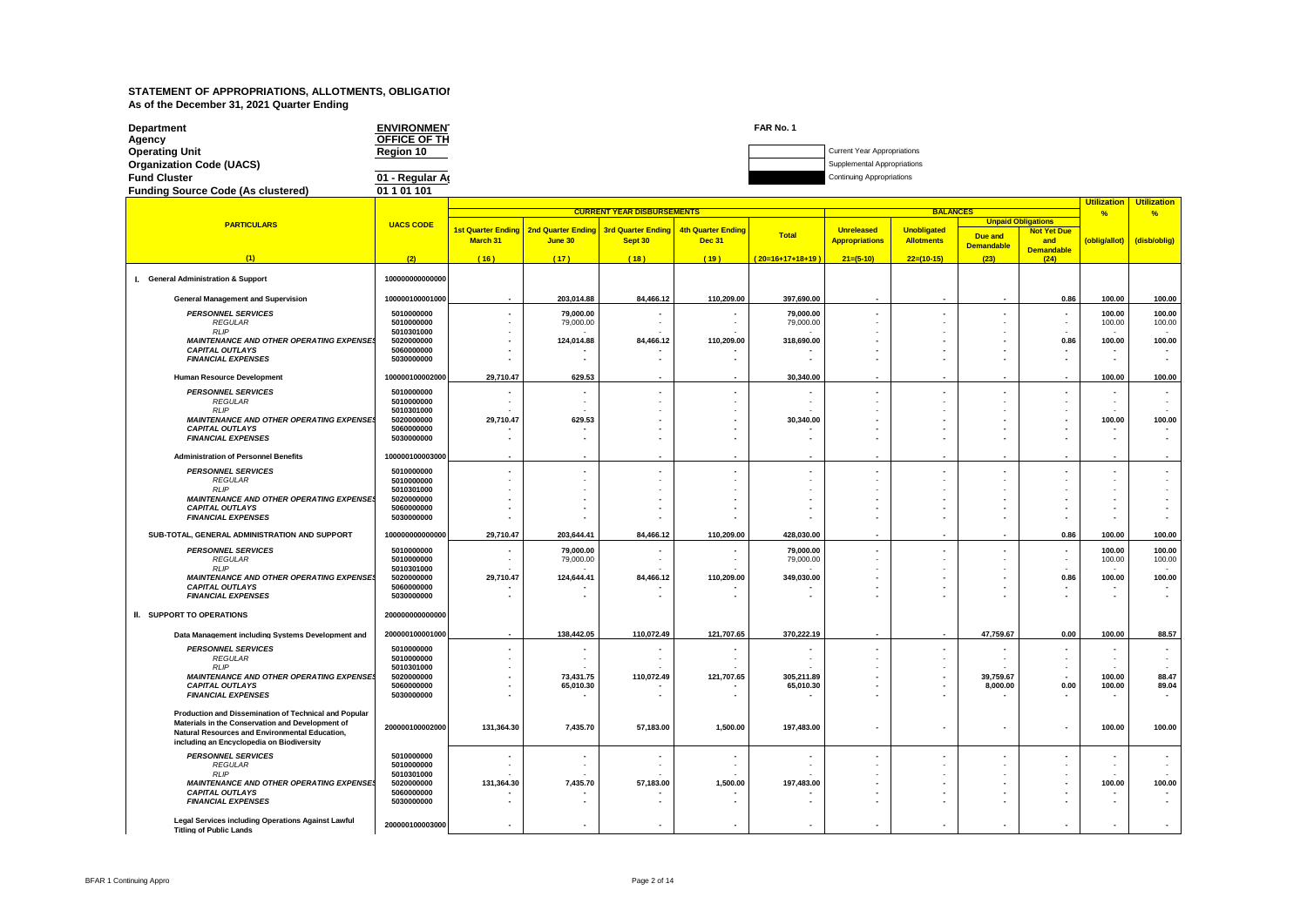| <b>Department</b>                         | <b>ENVIRONMEN</b> | FAR No. 1 |                                  |
|-------------------------------------------|-------------------|-----------|----------------------------------|
| Agency                                    | OFFICE OF TH      |           |                                  |
| <b>Operating Unit</b>                     | Region 10         |           | Current Year Appropriations      |
| <b>Organization Code (UACS)</b>           |                   |           | Supplemental Appropriations      |
| <b>Fund Cluster</b>                       | 01 - Regular Ar   |           | <b>Continuing Appropriations</b> |
| <b>Funding Source Code (As clustered)</b> | 01 1 01 101       |           |                                  |

|                                                                                                    |                          | <b>Utilization</b><br><b>CURRENT YEAR DISBURSEMENTS</b><br><b>BALANCES</b> |            |                                       |                           |                    |                       |                          |                          |                           |                | <b>Utilization</b> |
|----------------------------------------------------------------------------------------------------|--------------------------|----------------------------------------------------------------------------|------------|---------------------------------------|---------------------------|--------------------|-----------------------|--------------------------|--------------------------|---------------------------|----------------|--------------------|
| <b>PARTICULARS</b>                                                                                 |                          |                                                                            |            |                                       |                           |                    |                       |                          |                          | <b>Unpaid Obligations</b> | $\frac{9}{6}$  | %                  |
|                                                                                                    | <b>UACS CODE</b>         | <b>1st Quarter Ending</b>                                                  |            | 2nd Quarter Ending 3rd Quarter Ending | <b>4th Quarter Ending</b> | Total              | <b>Unreleased</b>     | <b>Unobligated</b>       | Due and                  | <b>Not Yet Due</b>        |                |                    |
|                                                                                                    |                          | March 31                                                                   | June 30    | Sept 30                               | <b>Dec 31</b>             |                    | <b>Appropriations</b> | <b>Allotments</b>        | <b>Demandable</b>        | and<br><b>Demandable</b>  | (oblig/allot)  | (disb/oblig)       |
| (1)                                                                                                | (2)                      | (16)                                                                       | (17)       | (18)                                  | (19)                      | $(20=16+17+18+19)$ | $21=(5-10)$           | $22=(10-15)$             | (23)                     | (24)                      |                |                    |
|                                                                                                    |                          |                                                                            |            |                                       |                           |                    |                       |                          |                          |                           |                |                    |
| I. General Administration & Support                                                                | 100000000000000          |                                                                            |            |                                       |                           |                    |                       |                          |                          |                           |                |                    |
| <b>General Management and Supervision</b>                                                          | 100000100001000          |                                                                            | 203.014.88 | 84.466.12                             | 110.209.00                | 397.690.00         |                       |                          |                          | 0.86                      | 100.00         | 100.00             |
| <b>PERSONNEL SERVICES</b>                                                                          | 5010000000               |                                                                            | 79,000.00  |                                       |                           | 79,000.00          |                       |                          |                          |                           | 100.00         | 100.00             |
| <b>REGULAR</b>                                                                                     | 5010000000               |                                                                            | 79,000.00  |                                       |                           | 79,000.00          |                       |                          |                          |                           | 100.00         | 100.00             |
| <b>RLIP</b><br><b>MAINTENANCE AND OTHER OPERATING EXPENSES</b>                                     | 5010301000<br>5020000000 |                                                                            | 124,014.88 | 84.466.12                             | 110,209.00                | 318,690.00         |                       |                          |                          | 0.86                      | 100.00         | 100.00             |
| <b>CAPITAL OUTLAYS</b>                                                                             | 5060000000               |                                                                            |            |                                       |                           |                    |                       |                          |                          |                           |                |                    |
| <b>FINANCIAL EXPENSES</b>                                                                          | 5030000000               |                                                                            |            | $\blacksquare$                        |                           |                    |                       |                          | $\overline{\phantom{a}}$ |                           | $\blacksquare$ |                    |
| <b>Human Resource Development</b>                                                                  | 100000100002000          | 29,710.47                                                                  | 629.53     |                                       |                           | 30,340.00          |                       |                          |                          |                           | 100.00         | 100.00             |
| <b>PERSONNEL SERVICES</b>                                                                          | 5010000000               |                                                                            |            | $\blacksquare$                        |                           |                    |                       | $\overline{\phantom{a}}$ | $\overline{\phantom{a}}$ |                           |                |                    |
| <b>REGULAR</b><br><b>RLIP</b>                                                                      | 5010000000<br>5010301000 |                                                                            |            |                                       |                           |                    |                       |                          |                          |                           |                |                    |
| <b>MAINTENANCE AND OTHER OPERATING EXPENSES</b>                                                    | 5020000000               | 29,710.47                                                                  | 629.53     |                                       |                           | 30,340.00          |                       |                          |                          |                           | 100.00         | 100.00             |
| <b>CAPITAL OUTLAYS</b><br><b>FINANCIAL EXPENSES</b>                                                | 5060000000<br>5030000000 |                                                                            |            |                                       |                           |                    |                       |                          |                          |                           |                |                    |
|                                                                                                    |                          |                                                                            |            |                                       |                           |                    |                       |                          |                          |                           |                |                    |
| <b>Administration of Personnel Benefits</b>                                                        | 100000100003000          |                                                                            |            |                                       |                           |                    |                       |                          |                          |                           |                |                    |
| <b>PERSONNEL SERVICES</b><br><b>REGULAR</b>                                                        | 5010000000<br>5010000000 |                                                                            |            |                                       |                           |                    |                       |                          |                          |                           |                |                    |
| <b>RLIP</b>                                                                                        | 5010301000               |                                                                            |            |                                       |                           |                    |                       |                          |                          |                           |                |                    |
| <b>MAINTENANCE AND OTHER OPERATING EXPENSES</b>                                                    | 5020000000               |                                                                            |            |                                       |                           |                    |                       |                          |                          |                           |                |                    |
| <b>CAPITAL OUTLAYS</b><br><b>FINANCIAL EXPENSES</b>                                                | 5060000000<br>5030000000 |                                                                            |            |                                       |                           |                    |                       |                          |                          |                           |                |                    |
| SUB-TOTAL, GENERAL ADMINISTRATION AND SUPPORT                                                      | 100000000000000          | 29,710.47                                                                  | 203,644.41 | 84,466.12                             | 110,209.00                | 428,030.00         |                       |                          |                          | 0.86                      | 100.00         | 100.00             |
| <b>PERSONNEL SERVICES</b>                                                                          | 5010000000               |                                                                            | 79,000.00  |                                       |                           | 79,000.00          |                       |                          |                          |                           | 100.00         | 100.00             |
| <b>REGULAR</b>                                                                                     | 5010000000               |                                                                            | 79,000.00  |                                       |                           | 79,000.00          |                       |                          |                          |                           | 100.00         | 100.00             |
| RIP<br><b>MAINTENANCE AND OTHER OPERATING EXPENSES</b>                                             | 5010301000<br>5020000000 | 29,710.47                                                                  | 124,644.41 | 84,466.12                             | 110,209.00                | 349,030.00         |                       |                          |                          | 0.86                      | 100.00         | 100.00             |
| <b>CAPITAL OUTLAYS</b>                                                                             | 5060000000               |                                                                            |            |                                       |                           |                    |                       |                          |                          |                           |                |                    |
| <b>FINANCIAL EXPENSES</b>                                                                          | 5030000000               |                                                                            |            |                                       |                           |                    |                       |                          |                          |                           |                |                    |
| II. SUPPORT TO OPERATIONS                                                                          | 200000000000000          |                                                                            |            |                                       |                           |                    |                       |                          |                          |                           |                |                    |
| Data Management including Systems Development and                                                  | 200000100001000          |                                                                            | 138.442.05 | 110,072.49                            | 121,707.65                | 370,222.19         |                       |                          | 47,759.67                | 0.00                      | 100.00         | 88.57              |
| <b>PERSONNEL SERVICES</b>                                                                          | 5010000000               |                                                                            |            |                                       |                           |                    |                       |                          |                          |                           |                |                    |
| <b>REGULAR</b>                                                                                     | 5010000000               |                                                                            |            |                                       |                           |                    |                       |                          |                          |                           |                |                    |
| <b>RLIP</b><br><b>MAINTENANCE AND OTHER OPERATING EXPENSES</b>                                     | 5010301000<br>5020000000 |                                                                            | 73,431.75  | 110.072.49                            | 121,707.65                | 305,211.89         |                       |                          | 39,759.67                |                           | 100.00         | 88.47              |
| <b>CAPITAL OUTLAYS</b>                                                                             | 5060000000               |                                                                            | 65,010.30  |                                       |                           | 65,010.30          |                       |                          | 8,000.00                 | 0.00                      | 100.00         | 89.04              |
| <b>FINANCIAL EXPENSES</b>                                                                          | 5030000000               |                                                                            |            |                                       |                           |                    |                       |                          | $\blacksquare$           |                           |                |                    |
| Production and Dissemination of Technical and Popular                                              |                          |                                                                            |            |                                       |                           |                    |                       |                          |                          |                           |                |                    |
| Materials in the Conservation and Development of<br>Natural Resources and Environmental Education, | 200000100002000          | 131,364.30                                                                 | 7,435.70   | 57,183.00                             | 1,500.00                  | 197,483.00         |                       |                          |                          |                           | 100.00         | 100.00             |
| including an Encyclopedia on Biodiversity                                                          |                          |                                                                            |            |                                       |                           |                    |                       |                          |                          |                           |                |                    |
| <b>PERSONNEL SERVICES</b>                                                                          | 5010000000               |                                                                            |            |                                       |                           |                    |                       |                          |                          |                           |                |                    |
| <b>REGULAR</b><br>RIP                                                                              | 5010000000<br>5010301000 |                                                                            |            |                                       |                           |                    |                       |                          |                          |                           |                |                    |
| <b>MAINTENANCE AND OTHER OPERATING EXPENSES</b>                                                    | 5020000000               | 131,364.30                                                                 | 7,435.70   | 57,183.00                             | 1,500.00                  | 197,483.00         |                       |                          |                          |                           | 100.00         | 100.00             |
| <b>CAPITAL OUTLAYS</b><br><b>FINANCIAL EXPENSES</b>                                                | 5060000000<br>5030000000 |                                                                            |            |                                       |                           |                    |                       |                          |                          |                           |                |                    |
|                                                                                                    |                          |                                                                            |            |                                       |                           |                    |                       |                          |                          |                           |                |                    |
| Legal Services including Operations Against Lawful<br><b>Titling of Public Lands</b>               | 200000100003000          |                                                                            |            |                                       |                           |                    |                       |                          |                          |                           |                |                    |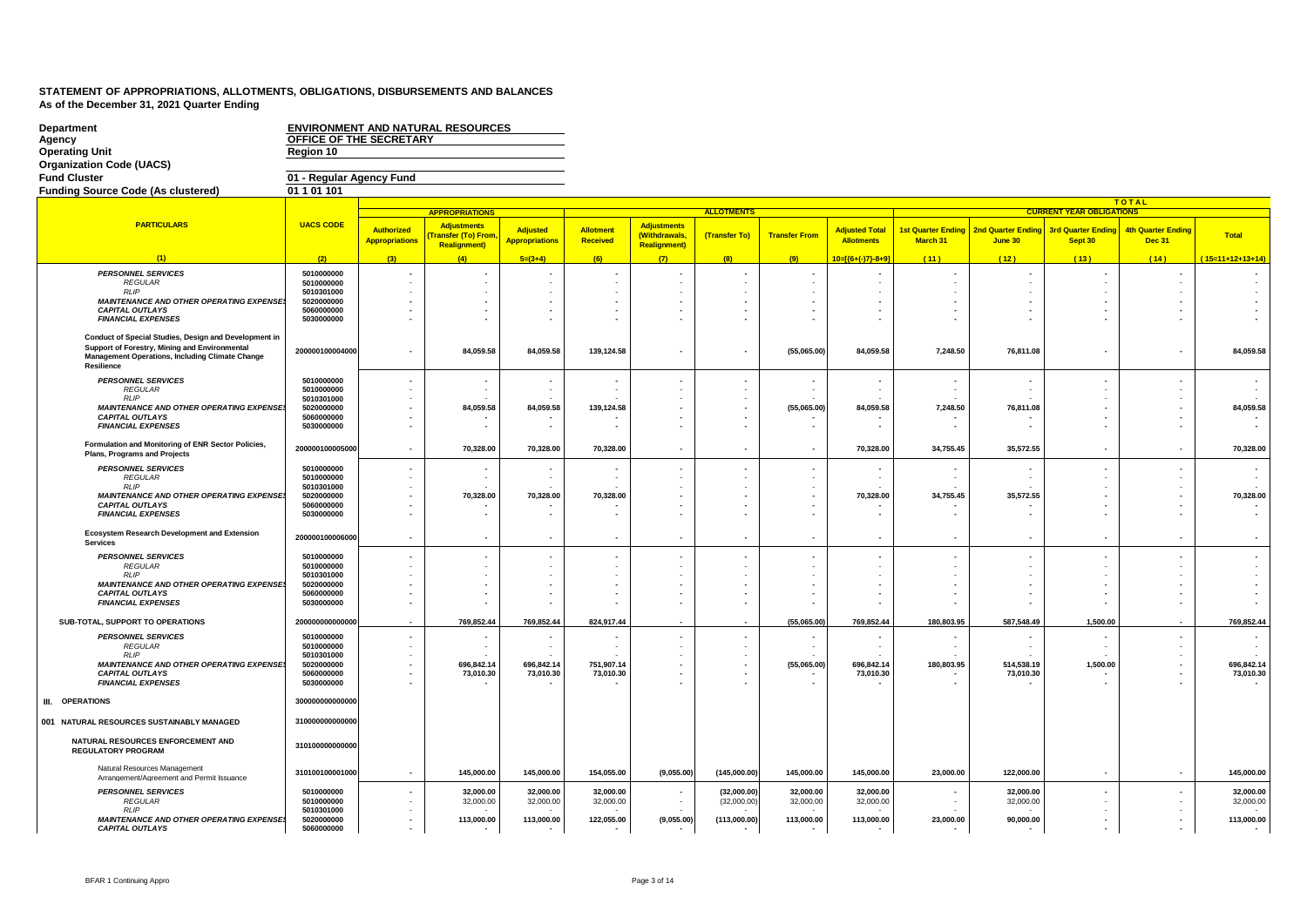| <b>Department</b><br>Agency<br><b>Operating Unit</b>                                                                                                      | OFFICE OF THE SECRETARY<br>Region 10   |                                     | <b>ENVIRONMENT AND NATURAL RESOURCES</b>                       |                                          |                        |                                                            |                            |                          |                                            |                                                      |                                      |                                      |                                            |                        |
|-----------------------------------------------------------------------------------------------------------------------------------------------------------|----------------------------------------|-------------------------------------|----------------------------------------------------------------|------------------------------------------|------------------------|------------------------------------------------------------|----------------------------|--------------------------|--------------------------------------------|------------------------------------------------------|--------------------------------------|--------------------------------------|--------------------------------------------|------------------------|
| <b>Organization Code (UACS)</b>                                                                                                                           |                                        |                                     |                                                                |                                          |                        |                                                            |                            |                          |                                            |                                                      |                                      |                                      |                                            |                        |
| <b>Fund Cluster</b>                                                                                                                                       | 01 - Regular Agency Fund               |                                     |                                                                |                                          |                        |                                                            |                            |                          |                                            |                                                      |                                      |                                      |                                            |                        |
| <b>Funding Source Code (As clustered)</b>                                                                                                                 | 01 1 01 101                            |                                     |                                                                |                                          |                        |                                                            |                            |                          |                                            |                                                      |                                      |                                      |                                            |                        |
|                                                                                                                                                           |                                        |                                     |                                                                |                                          |                        |                                                            |                            |                          |                                            |                                                      |                                      |                                      | <b>TOTAL</b>                               |                        |
|                                                                                                                                                           |                                        |                                     | <b>APPROPRIATIONS</b>                                          |                                          |                        |                                                            | <b>ALLOTMENTS</b>          |                          |                                            |                                                      |                                      | <b>CURRENT YEAR OBLIGATIONS</b>      |                                            |                        |
| <b>PARTICULARS</b>                                                                                                                                        | <b>UACS CODE</b>                       | Authorized<br><b>Appropriations</b> | <b>Adjustments</b><br>ransfer (To) From<br><b>Realignment)</b> | <b>Adjusted</b><br><b>Appropriations</b> | Allotment<br>Received  | <b>Adjustments</b><br>(Withdrawals,<br><b>Realignment)</b> | (Transfer To)              | <b>Transfer From</b>     | <b>Adjusted Total</b><br><b>Allotments</b> | <b>1st Quarter Ending</b><br>March 31                | <b>2nd Quarter Ending</b><br>June 30 | <b>3rd Quarter Ending</b><br>Sept 30 | <b>4th Quarter Ending</b><br><b>Dec 31</b> | <b>Total</b>           |
| (1)                                                                                                                                                       | (2)                                    | (3)                                 | (4)                                                            | $5=(3+4)$                                | (6)                    | (7)                                                        | (8)                        | (9)                      | $10 = {\frac{6 + (-)7 - 8 + 9}{0}}$        | (11)                                                 | (12)                                 | (13)                                 | (14)                                       | $(15=11+12+13+14)$     |
| <b>PERSONNEL SERVICES</b>                                                                                                                                 | 5010000000                             |                                     |                                                                |                                          |                        |                                                            |                            |                          |                                            |                                                      |                                      |                                      |                                            |                        |
| <b>REGULAR</b>                                                                                                                                            | 5010000000                             |                                     |                                                                |                                          |                        |                                                            |                            |                          |                                            |                                                      | ÷                                    |                                      |                                            |                        |
| <b>RLIP</b>                                                                                                                                               | 5010301000                             |                                     |                                                                |                                          |                        |                                                            |                            |                          |                                            |                                                      |                                      |                                      |                                            |                        |
| <b>MAINTENANCE AND OTHER OPERATING EXPENSE</b><br><b>CAPITAL OUTLAYS</b>                                                                                  | 5020000000<br>5060000000               |                                     |                                                                |                                          |                        |                                                            |                            |                          |                                            | $\overline{\phantom{a}}$<br>$\overline{\phantom{a}}$ |                                      |                                      |                                            |                        |
| <b>FINANCIAL EXPENSES</b>                                                                                                                                 | 5030000000                             |                                     |                                                                |                                          |                        |                                                            |                            |                          |                                            |                                                      |                                      |                                      |                                            |                        |
| Conduct of Special Studies, Design and Development in<br>Support of Forestry, Mining and Environmental<br>Management Operations, Including Climate Change | 200000100004000                        |                                     | 84,059.58                                                      | 84,059.58                                | 139,124.58             |                                                            |                            | (55,065.00)              | 84,059.58                                  | 7,248.50                                             | 76,811.08                            | ٠                                    |                                            | 84.059.58              |
| Resilience                                                                                                                                                |                                        |                                     |                                                                |                                          |                        |                                                            |                            |                          |                                            |                                                      |                                      |                                      |                                            |                        |
| <b>PERSONNEL SERVICES</b>                                                                                                                                 | 5010000000                             |                                     |                                                                |                                          |                        |                                                            |                            |                          |                                            |                                                      |                                      |                                      |                                            |                        |
| <b>REGULAR</b><br><b>RLIP</b>                                                                                                                             | 5010000000<br>5010301000               |                                     |                                                                |                                          |                        |                                                            |                            |                          |                                            |                                                      | $\sim$                               |                                      |                                            |                        |
| <b>MAINTENANCE AND OTHER OPERATING EXPENSES</b>                                                                                                           | 5020000000                             |                                     | 84,059.58                                                      | 84,059.58                                | 139,124.58             |                                                            |                            | (55,065.00)              | 84,059.58                                  | 7,248.50                                             | 76,811.08                            |                                      |                                            | 84,059.58              |
| <b>CAPITAL OUTLAYS</b><br><b>FINANCIAL EXPENSES</b>                                                                                                       | 5060000000<br>5030000000               |                                     |                                                                |                                          |                        |                                                            |                            |                          |                                            |                                                      | $\blacksquare$                       |                                      |                                            |                        |
| Formulation and Monitoring of ENR Sector Policies,<br>Plans, Programs and Projects                                                                        | 200000100005000                        | $\overline{\phantom{a}}$            | 70,328.00                                                      | 70,328.00                                | 70,328.00              |                                                            |                            | $\overline{\phantom{a}}$ | 70,328.00                                  | 34,755.45                                            | 35,572.55                            | ٠                                    | $\overline{\phantom{a}}$                   | 70,328.00              |
| <b>PERSONNEL SERVICES</b>                                                                                                                                 | 5010000000                             |                                     |                                                                |                                          |                        |                                                            |                            |                          |                                            |                                                      |                                      |                                      |                                            |                        |
| <b>REGULAR</b>                                                                                                                                            | 5010000000                             |                                     | $\sim$                                                         |                                          |                        |                                                            |                            |                          |                                            |                                                      | $\sim$                               |                                      |                                            |                        |
| <b>RLIP</b><br><b>MAINTENANCE AND OTHER OPERATING EXPENSE.</b>                                                                                            | 5010301000<br>5020000000               |                                     | 70,328.00                                                      | 70,328.00                                | 70,328.00              |                                                            |                            |                          | 70,328.00                                  | 34,755.45                                            | 35,572.55                            |                                      |                                            | 70,328.00              |
| <b>CAPITAL OUTLAYS</b>                                                                                                                                    | 5060000000                             |                                     |                                                                |                                          |                        |                                                            |                            |                          |                                            |                                                      |                                      |                                      |                                            |                        |
| <b>FINANCIAL EXPENSES</b>                                                                                                                                 | 5030000000                             |                                     |                                                                |                                          |                        |                                                            |                            |                          |                                            |                                                      | $\overline{\phantom{a}}$             |                                      |                                            |                        |
| <b>Ecosystem Research Development and Extension</b><br><b>Services</b>                                                                                    | 200000100006000                        |                                     |                                                                |                                          |                        |                                                            |                            |                          |                                            |                                                      | $\blacksquare$                       |                                      |                                            |                        |
| <b>PERSONNEL SERVICES</b>                                                                                                                                 | 5010000000                             |                                     |                                                                |                                          |                        |                                                            |                            |                          |                                            |                                                      |                                      |                                      |                                            |                        |
| <b>REGULAR</b>                                                                                                                                            | 5010000000                             |                                     |                                                                |                                          |                        |                                                            |                            |                          |                                            |                                                      |                                      |                                      |                                            |                        |
| <b>RLIP</b><br><b>MAINTENANCE AND OTHER OPERATING EXPENSE!</b>                                                                                            | 5010301000<br>5020000000               |                                     |                                                                |                                          |                        |                                                            |                            |                          |                                            |                                                      |                                      |                                      |                                            |                        |
| <b>CAPITAL OUTLAYS</b>                                                                                                                                    | 5060000000                             |                                     |                                                                |                                          |                        |                                                            |                            |                          |                                            |                                                      | $\overline{\phantom{a}}$             |                                      |                                            |                        |
| <b>FINANCIAL EXPENSES</b>                                                                                                                                 | 5030000000                             |                                     |                                                                |                                          |                        |                                                            |                            |                          |                                            |                                                      |                                      |                                      |                                            |                        |
| SUB-TOTAL, SUPPORT TO OPERATIONS                                                                                                                          | 20000000000000                         |                                     | 769.852.44                                                     | 769,852.44                               | 824.917.44             |                                                            |                            | (55,065.00)              | 769.852.44                                 | 180.803.95                                           | 587.548.49                           | 1,500.00                             |                                            | 769,852.44             |
| <b>PERSONNEL SERVICES</b><br><b>REGULAR</b>                                                                                                               | 5010000000<br>5010000000               |                                     |                                                                | $\overline{\phantom{a}}$                 |                        |                                                            |                            |                          | $\sim$                                     |                                                      | $\sim$                               |                                      |                                            |                        |
| <b>RLIP</b>                                                                                                                                               | 5010301000                             |                                     |                                                                |                                          |                        |                                                            |                            |                          |                                            |                                                      |                                      |                                      |                                            |                        |
| <b>MAINTENANCE AND OTHER OPERATING EXPENSE</b>                                                                                                            | 5020000000                             | $\blacksquare$                      | 696,842.14                                                     | 696,842.14                               | 751,907.14             |                                                            |                            | (55,065.00)              | 696,842.14                                 | 180,803.95                                           | 514,538.19                           | 1,500.00                             | $\overline{\phantom{a}}$                   | 696,842.14             |
| <b>CAPITAL OUTLAYS</b><br><b>FINANCIAL EXPENSES</b>                                                                                                       | 5060000000<br>5030000000               |                                     | 73,010.30                                                      | 73,010.30                                | 73,010.30              |                                                            |                            |                          | 73,010.30                                  |                                                      | 73,010.30                            |                                      |                                            | 73,010.30              |
| <b>III. OPERATIONS</b>                                                                                                                                    | 300000000000000                        |                                     |                                                                |                                          |                        |                                                            |                            |                          |                                            |                                                      |                                      |                                      |                                            |                        |
| 001 NATURAL RESOURCES SUSTAINABLY MANAGED                                                                                                                 | 310000000000000                        |                                     |                                                                |                                          |                        |                                                            |                            |                          |                                            |                                                      |                                      |                                      |                                            |                        |
| NATURAL RESOURCES ENFORCEMENT AND<br><b>REGULATORY PROGRAM</b>                                                                                            | 310100000000000                        |                                     |                                                                |                                          |                        |                                                            |                            |                          |                                            |                                                      |                                      |                                      |                                            |                        |
| Natural Resources Management<br>Arrangement/Agreement and Permit Issuance                                                                                 | 310100100001000                        |                                     | 145,000.00                                                     | 145,000.00                               | 154,055.00             | (9,055.00)                                                 | (145,000.00)               | 145,000.00               | 145,000.00                                 | 23,000.00                                            | 122,000.00                           |                                      |                                            | 145,000.00             |
| <b>PERSONNEL SERVICES</b><br><b>REGULAR</b>                                                                                                               | 5010000000<br>5010000000               |                                     | 32,000.00<br>32,000.00                                         | 32,000.00<br>32,000.00                   | 32.000.00<br>32,000.00 |                                                            | (32.000.00)<br>(32,000.00) | 32.000.00<br>32,000.00   | 32,000.00<br>32,000.00                     |                                                      | 32.000.00<br>32,000.00               |                                      |                                            | 32.000.00<br>32,000.00 |
| <b>RLIP</b><br><b>MAINTENANCE AND OTHER OPERATING EXPENSES</b><br><b>CAPITAL OUTLAYS</b>                                                                  | 5010301000<br>5020000000<br>5060000000 |                                     | 113,000.00<br>$\overline{\phantom{a}}$                         | 113,000.00                               | 122,055.00             | (9,055.00)                                                 | (113,000.00)               | 113,000.00               | 113,000.00                                 | 23,000.00<br>$\overline{\phantom{a}}$                | 90,000.00                            | $\blacksquare$<br>$\overline{a}$     |                                            | 113,000.00             |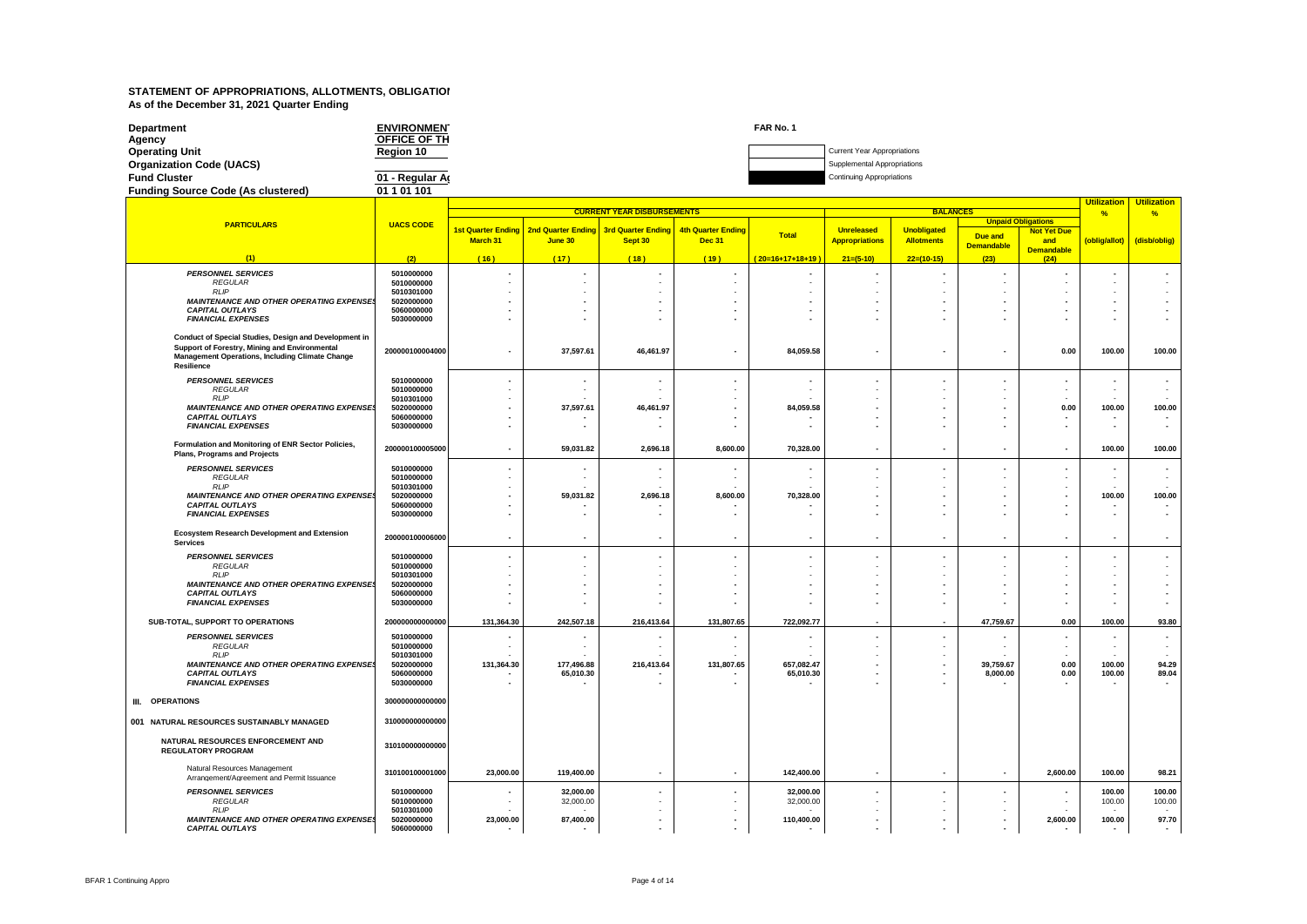| Department                                | <b>ENVIRONMEN'</b> | FAR No. 1 |                                    |
|-------------------------------------------|--------------------|-----------|------------------------------------|
| Agency                                    | OFFICE OF TH       |           |                                    |
| <b>Operating Unit</b>                     | Reaion 10          |           | <b>Current Year Appropriations</b> |
| <b>Organization Code (UACS)</b>           |                    |           | Supplemental Appropriations        |
| <b>Fund Cluster</b>                       | 01 - Regular Ar    |           | <b>Continuing Appropriations</b>   |
| <b>Funding Source Code (As clustered)</b> | 01 1 01 101        |           |                                    |

#### **(2) PARTICULARS UACS CODE (1)** *PERSONNEL SERVICES* **5010000000** *REGULAR* **5010000000** *RLIP* **5010301000** *MAINTENANCE AND OTHER OPERATING EXPENSES* **5020000000** *CAPITAL OUTLAYS* **5060000000 FINANCIAL EXPENSES Conduct of Special Studies, Design and Development in Support of Forestry, Mining and Environmental Management Operations, Including Climate Change Resilience 200000100004000** *PERSONNEL SERVICES* **5010000000 REGULAR 5010000000**<br> *RIP* **5010000000**<br> *RIP* **5010301000** *RLIP* **5010301000** *MAINTENANCE AND OTHER OPERATING EXPENSES* **5020000000** *CAPITAL OUTLAYS* **5060000000 FINANCIAL EXPENSES Formulation and Monitoring of ENR Sector Policies, Plans, Programs and Projects <sup>200000100005000</sup>** *PERSONNEL SERVICES* **5010000000** *REGULAR* **5010000000** *RLIP* **5010301000** *MAINTENANCE AND OTHER OPERATING EXPENSES* **5020000000 CAPITAL OUTLAYS 5060000000**<br> **FINANCIAL EXPENSES** 5030000000 **FINANCIAL EXPENSES Ecosystem Research Development and Extension Services <sup>200000100006000</sup>** *PERSONNEL SERVICES* **5010000000** *REGULAR* **5010000000** *RLIP* **5010301000** *MAINTENANCE AND OTHER OPERATING EXPENSES* **5020000000** *CAPITAL OUTLAYS* **5060000000** *FINANCIAL EXPENSES* **5030000000 SUB-TOTAL, SUPPORT TO OPERATIONS 200000000000000** *PERSONNEL SERVICES* **5010000000** *REGULAR* **5010000000** *RLIP* **5010301000** *MAINTENANCE AND OTHER OPERATING EXPENSES* **5020000000** *CAPITAL OUTLAYS* **5060000000** *FINANCIAL EXPENSES* **5030000000 III. OPERATIONS 300000000000000** 001 NATURAL RESOURCES SUSTAINABLY MANAGED 31000000000000000 **NATURAL RESOURCES ENFORCEMENT AND REGULATORY PROGRAM 310100000000000** Natural Resources Management Arrangement/Agreement and Permit Issuance **<sup>310100100001000</sup>** *PERSONNEL SERVICES* **5010000000** *REGULAR* **5010000000** *RLIP* **5010301000** *MAINTENANCE AND OTHER OPERATING EXPENSES* **5020000000 CAPITAL OUTLAYS Utilization Utilization % % Due and Demandable Not Yet Due and Demandable (oblig/allot) (disb/oblig) ( 16 ) ( 17 ) ( 18 ) ( 19 ) ( 20=16+17+18+19 ) 21=(5-10) 22=(10-15) (23) (24) CURRENT YEAR DISBURSEMENTS BALANCE 1st Quarter Ending March 31 2nd Quarter Ending June 30 3rd Quarter Ending Sept 30 4th Quarter Ending Dec 31 Total Unreleased Appropriations Unobligated Allotments Unpaid Obligations - - - - - - - - - - -** - - - - - - - - - - - - - - - - - - - - - -  **- - - - - - - - - - - - - - - - - - - - - - - - - - - - - - - - -** - | 37,597.61 | 46,461.97 | - | 84,059.58 | - | - | - | 0.00 | 100.00 | 100.00  **- - - - - - - - - - -** - - - - - - - - - - - - - - - - - - - - - - - | 37,597.61 | 46,461.97 | - | 84,059.58 | - | - | - | 0.00 | 100.00 | 100.00  **- - - - - - - - - - - - - - - - - - - - - -** - | 59,031.82 | 2,696.18 | 8,600.00 | 70,328.00 | - | - | - | - | 100.00 | 100.00  **- - - - - - - - - - -** - - - - - - - - - - - - - - - - - - - - - - 100.00 | 59,031.82 | 2,696.18 | 8,600.00 | 70,328.00 | - | - | - | - | 100.00 | 100.00  **- - - - - - - - - - - - - - - - - - - - - - - - - - - - - - - - - - - - - - - - - - - -** - - - - - - - - - - - - - - - - - - - - - -  **- - - - - - - - - - - - - - - - - - - - - - - - - - - - - - - - - 131,364.30 242,507.18 216,413.64 131,807.65 722,092.77 - - 47,759.67 0.00 100.00 93.80 - - - - - - - - - - -** - - - - - - - - - - - - - - - - - - - - - - 131,364.30 | 177,496.88 | 216,413.64 | 131,807.65 | 657,082.47 | - | - | 39,759.67 | 0.00 | 100.00 | 94.29  **- 65,010.30 - - 65,010.30 - - 8,000.00 0.00 100.00 89.04 - - - - - - - - - - -** 23,000.00 | 119,400.00 | - | - | 142,400.00 | - | - | - | 2,600.00 | 100.00 | 98.21 100.00 | 32,000.00 | - | - | 32,000.00 | - | - | - | - | 100.00 | 100.00 | - | - | 100.00 | - | - | 100.00 | - | - 2,000.00 - - - - - 32,000.00 - - - - - - 100.00 - 100.00 - 100.00 - - - - - - - - - - - 23,000.00 87,400.00 - I - I 110,400.00 - I - I - Z,600.00 100.00 97.70  **- - - - - - - - - - -**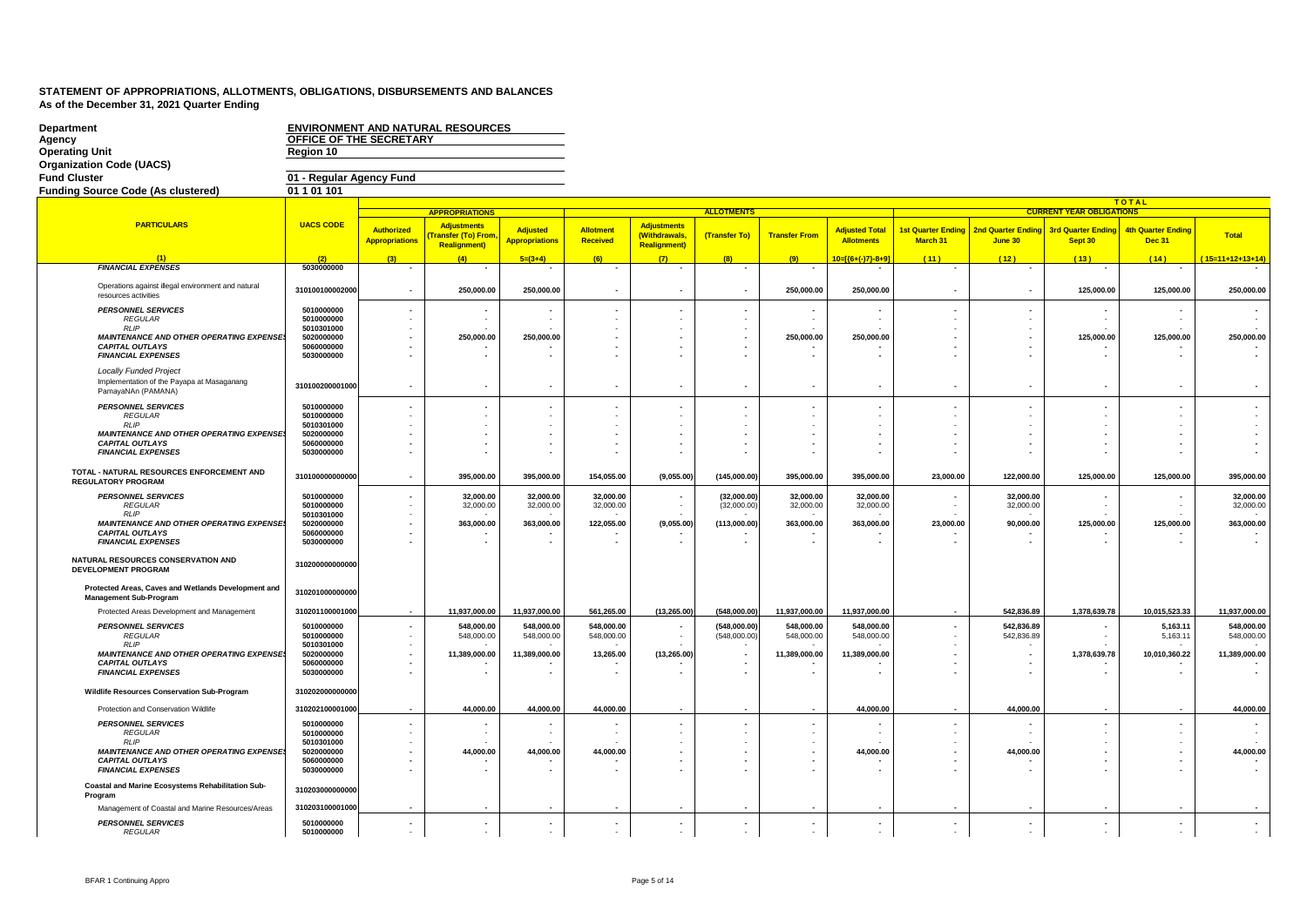| <b>Department</b><br>Agency<br><b>Operating Unit</b>                                              | OFFICE OF THE SECRETARY<br>Region 10 |                                            | <b>ENVIRONMENT AND NATURAL RESOURCES</b>                                     |                                          |                          |                                                            |                              |                          |                                            |                                                      |                                    |                                      |                                            |                          |
|---------------------------------------------------------------------------------------------------|--------------------------------------|--------------------------------------------|------------------------------------------------------------------------------|------------------------------------------|--------------------------|------------------------------------------------------------|------------------------------|--------------------------|--------------------------------------------|------------------------------------------------------|------------------------------------|--------------------------------------|--------------------------------------------|--------------------------|
| <b>Organization Code (UACS)</b>                                                                   |                                      |                                            |                                                                              |                                          |                          |                                                            |                              |                          |                                            |                                                      |                                    |                                      |                                            |                          |
| <b>Fund Cluster</b>                                                                               | 01 - Regular Agency Fund             |                                            |                                                                              |                                          |                          |                                                            |                              |                          |                                            |                                                      |                                    |                                      |                                            |                          |
| <b>Funding Source Code (As clustered)</b>                                                         | 01 1 01 101                          |                                            |                                                                              |                                          |                          |                                                            |                              |                          |                                            |                                                      |                                    |                                      |                                            |                          |
|                                                                                                   |                                      |                                            | <b>APPROPRIATIONS</b>                                                        |                                          |                          |                                                            | <b>ALLOTMENTS</b>            |                          |                                            |                                                      |                                    | <b>CURRENT YEAR OBLIGATIONS</b>      | <b>TOTAL</b>                               |                          |
| <b>PARTICULARS</b>                                                                                | <b>UACS CODE</b>                     | <b>Authorized</b><br><b>Appropriations</b> | <b>Adjustments</b><br><mark>'ransfer (To) From</mark><br><b>Realignment)</b> | <b>Adjusted</b><br><b>Appropriations</b> | Allotment<br>Received    | <b>Adjustments</b><br>(Withdrawals,<br><b>Realignment)</b> | (Transfer To)                | <b>Transfer From</b>     | <b>Adjusted Total</b><br><b>Allotments</b> | <b>1st Quarter Ending</b><br>March 31                | 2nd Quarter Ending<br>June 30      | <b>3rd Quarter Ending</b><br>Sept 30 | <b>4th Quarter Ending</b><br><b>Dec 31</b> | <b>Total</b>             |
|                                                                                                   | (2)                                  | (3)                                        | (4)                                                                          | $5=(3+4)$                                | (6)                      | (7)                                                        | (8)                          | (9)                      | 10=[{6+(-)7}-8+9]                          | (11)                                                 | (12)                               | (13)                                 | (14)                                       | $(15=11+12+13+14)$       |
| <b>FINANCIAL EXPENSES</b>                                                                         | 5030000000                           |                                            |                                                                              |                                          |                          |                                                            |                              |                          |                                            |                                                      |                                    |                                      |                                            |                          |
| Operations against illegal environment and natural<br>resources activities                        | 310100100002000                      |                                            | 250,000.00                                                                   | 250,000.00                               |                          |                                                            |                              | 250,000.00               | 250,000.00                                 |                                                      | $\overline{\phantom{a}}$           | 125,000.00                           | 125,000.00                                 | 250,000.00               |
| <b>PERSONNEL SERVICES</b><br><b>REGULAR</b>                                                       | 5010000000<br>5010000000             |                                            |                                                                              |                                          |                          |                                                            |                              |                          | $\sim$                                     | $\blacksquare$<br>$\overline{\phantom{a}}$           | $\overline{\phantom{a}}$<br>$\sim$ |                                      |                                            |                          |
| <b>RLIP</b><br>MAINTENANCE AND OTHER OPERATING EXPENSE                                            | 5010301000<br>5020000000             |                                            | 250,000.00                                                                   | 250,000.00                               |                          |                                                            |                              | 250,000.00               | 250,000.00                                 | $\overline{\phantom{a}}$<br>$\overline{\phantom{a}}$ | $\overline{\phantom{a}}$           | 125,000.00                           | 125,000.00                                 | 250,000.00               |
| <b>CAPITAL OUTLAYS</b><br><b>FINANCIAL EXPENSES</b>                                               | 5060000000<br>5030000000             |                                            |                                                                              |                                          |                          |                                                            |                              |                          | ۰.                                         | $\overline{\phantom{a}}$                             | $\overline{\phantom{a}}$           |                                      |                                            |                          |
| <b>Locally Funded Project</b><br>Implementation of the Payapa at Masaganang<br>PamayaNAn (PAMANA) | 310100200001000                      |                                            |                                                                              |                                          |                          |                                                            |                              |                          | $\overline{\phantom{a}}$                   | $\overline{\phantom{a}}$                             | $\overline{\phantom{a}}$           |                                      |                                            |                          |
| <b>PERSONNEL SERVICES</b>                                                                         | 5010000000                           |                                            |                                                                              |                                          |                          |                                                            |                              |                          |                                            |                                                      | $\overline{\phantom{a}}$           |                                      |                                            |                          |
| <b>REGULAR</b><br><b>RLIP</b>                                                                     | 5010000000                           |                                            |                                                                              |                                          |                          |                                                            |                              |                          | $\sim$                                     | ÷                                                    | $\sim$                             |                                      |                                            |                          |
| <b>MAINTENANCE AND OTHER OPERATING EXPENSE</b>                                                    | 5010301000<br>5020000000             |                                            |                                                                              |                                          |                          |                                                            |                              |                          |                                            | $\overline{\phantom{a}}$<br>$\blacksquare$           | $\overline{\phantom{a}}$           |                                      |                                            |                          |
| <b>CAPITAL OUTLAYS</b><br><b>FINANCIAL EXPENSES</b>                                               | 5060000000<br>5030000000             |                                            |                                                                              |                                          |                          |                                                            |                              |                          |                                            |                                                      |                                    |                                      |                                            |                          |
| TOTAL - NATURAL RESOURCES ENFORCEMENT AND<br><b>REGULATORY PROGRAM</b>                            | 310100000000000                      |                                            | 395,000.00                                                                   | 395,000.00                               | 154,055.00               | (9,055.00)                                                 | (145,000.00)                 | 395,000.00               | 395,000.00                                 | 23,000.00                                            | 122,000.00                         | 125,000.00                           | 125,000.00                                 | 395,000.00               |
| <b>PERSONNEL SERVICES</b><br><b>REGULAR</b>                                                       | 5010000000<br>5010000000             |                                            | 32,000.00<br>32,000.00                                                       | 32,000.00<br>32,000.00                   | 32,000.00<br>32,000.00   |                                                            | (32,000.00)<br>(32,000.00)   | 32,000.00<br>32,000.00   | 32,000.00<br>32,000.00                     |                                                      | 32,000.00<br>32,000.00             |                                      |                                            | 32,000.00<br>32,000.00   |
| <b>RLIP</b><br><b>MAINTENANCE AND OTHER OPERATING EXPENSE</b>                                     | 5010301000<br>5020000000             |                                            | 363,000.00                                                                   | 363,000.00                               | 122,055.00               | (9,055.00)                                                 | (113,000.00)                 | 363,000.00               | 363,000.00                                 | 23,000.00                                            | 90,000.00                          | 125,000.00                           | 125,000.00                                 | 363,000.00               |
| <b>CAPITAL OUTLAYS</b><br><b>FINANCIAL EXPENSES</b>                                               | 5060000000<br>5030000000             |                                            |                                                                              |                                          |                          |                                                            |                              |                          |                                            |                                                      |                                    |                                      |                                            |                          |
| NATURAL RESOURCES CONSERVATION AND<br><b>DEVELOPMENT PROGRAM</b>                                  | 310200000000000                      |                                            |                                                                              |                                          |                          |                                                            |                              |                          |                                            |                                                      |                                    |                                      |                                            |                          |
| Protected Areas, Caves and Wetlands Development and<br><b>Management Sub-Program</b>              | 310201000000000                      |                                            |                                                                              |                                          |                          |                                                            |                              |                          |                                            |                                                      |                                    |                                      |                                            |                          |
| Protected Areas Development and Management                                                        | 310201100001000                      |                                            | 11,937,000.00                                                                | 11,937,000.00                            | 561,265.00               | (13, 265.00)                                               | (548,000.00)                 | 11,937,000.00            | 11,937,000.00                              |                                                      | 542,836.89                         | 1,378,639.78                         | 10,015,523.33                              | 11,937,000.00            |
| <b>PERSONNEL SERVICES</b><br><b>REGULAR</b>                                                       | 5010000000<br>5010000000             |                                            | 548.000.00<br>548,000.00                                                     | 548.000.00<br>548,000.00                 | 548,000.00<br>548,000.00 |                                                            | (548.000.00)<br>(548,000,00) | 548,000.00<br>548,000.00 | 548.000.00<br>548,000.00                   |                                                      | 542,836.89<br>542,836.89           |                                      | 5,163.11<br>5,163.11                       | 548,000.00<br>548,000.00 |
| <b>RLIP</b><br><b>MAINTENANCE AND OTHER OPERATING EXPENSE</b>                                     | 5010301000<br>5020000000             |                                            | 11,389,000.00                                                                | 11,389,000.00                            | 13,265.00                | (13, 265.00)                                               |                              | 11,389,000.00            | 11,389,000.00                              | $\overline{\phantom{a}}$                             | $\overline{\phantom{a}}$           | 1,378,639.78                         | 10,010,360.22                              | 11,389,000.00            |
| <b>CAPITAL OUTLAYS</b><br><b>FINANCIAL EXPENSES</b>                                               | 5060000000<br>5030000000             |                                            |                                                                              |                                          |                          |                                                            |                              |                          | $\overline{a}$                             | $\overline{\phantom{a}}$<br>$\blacksquare$           | $\overline{\phantom{a}}$           |                                      |                                            |                          |
| Wildlife Resources Conservation Sub-Program                                                       | 310202000000000                      |                                            |                                                                              |                                          |                          |                                                            |                              |                          |                                            |                                                      |                                    |                                      |                                            |                          |
| Protection and Conservation Wildlife                                                              | 310202100001000                      |                                            | 44.000.00                                                                    | 44.000.00                                | 44.000.00                |                                                            |                              |                          | 44.000.00                                  |                                                      | 44.000.00                          |                                      |                                            | 44,000.00                |
| <b>PERSONNEL SERVICES</b><br><b>REGULAR</b>                                                       | 5010000000<br>5010000000             |                                            |                                                                              |                                          |                          |                                                            |                              |                          | $\sim$                                     | $\sim$                                               | ÷.                                 |                                      |                                            |                          |
| RLP<br><b>MAINTENANCE AND OTHER OPERATING EXPENSE.</b>                                            | 5010301000<br>5020000000             |                                            | 44,000.00                                                                    | 44,000.00                                | 44,000.00                |                                                            |                              |                          | 44,000.00                                  | $\sim$<br>$\overline{\phantom{a}}$                   | 44,000.00                          |                                      |                                            | 44,000.00                |
| <b>CAPITAL OUTLAYS</b>                                                                            | 5060000000                           |                                            |                                                                              |                                          |                          |                                                            |                              |                          |                                            |                                                      |                                    |                                      |                                            |                          |
| <b>FINANCIAL EXPENSES</b>                                                                         | 5030000000                           |                                            |                                                                              |                                          |                          |                                                            |                              |                          | $\overline{a}$                             | $\overline{a}$                                       |                                    |                                      |                                            |                          |
| Coastal and Marine Ecosystems Rehabilitation Sub-<br>Program                                      | 310203000000000                      |                                            |                                                                              |                                          |                          |                                                            |                              |                          |                                            |                                                      |                                    |                                      |                                            |                          |
| Management of Coastal and Marine Resources/Areas                                                  | 310203100001000                      |                                            |                                                                              |                                          |                          |                                                            |                              |                          |                                            |                                                      |                                    |                                      |                                            |                          |
| <b>PERSONNEL SERVICES</b><br><b>REGULAR</b>                                                       | 5010000000<br>5010000000             |                                            |                                                                              |                                          |                          |                                                            |                              | $\sim$                   | $\blacksquare$<br>$\sim$                   | $\sim$                                               | $\overline{\phantom{a}}$<br>$\sim$ |                                      | $\sim$                                     |                          |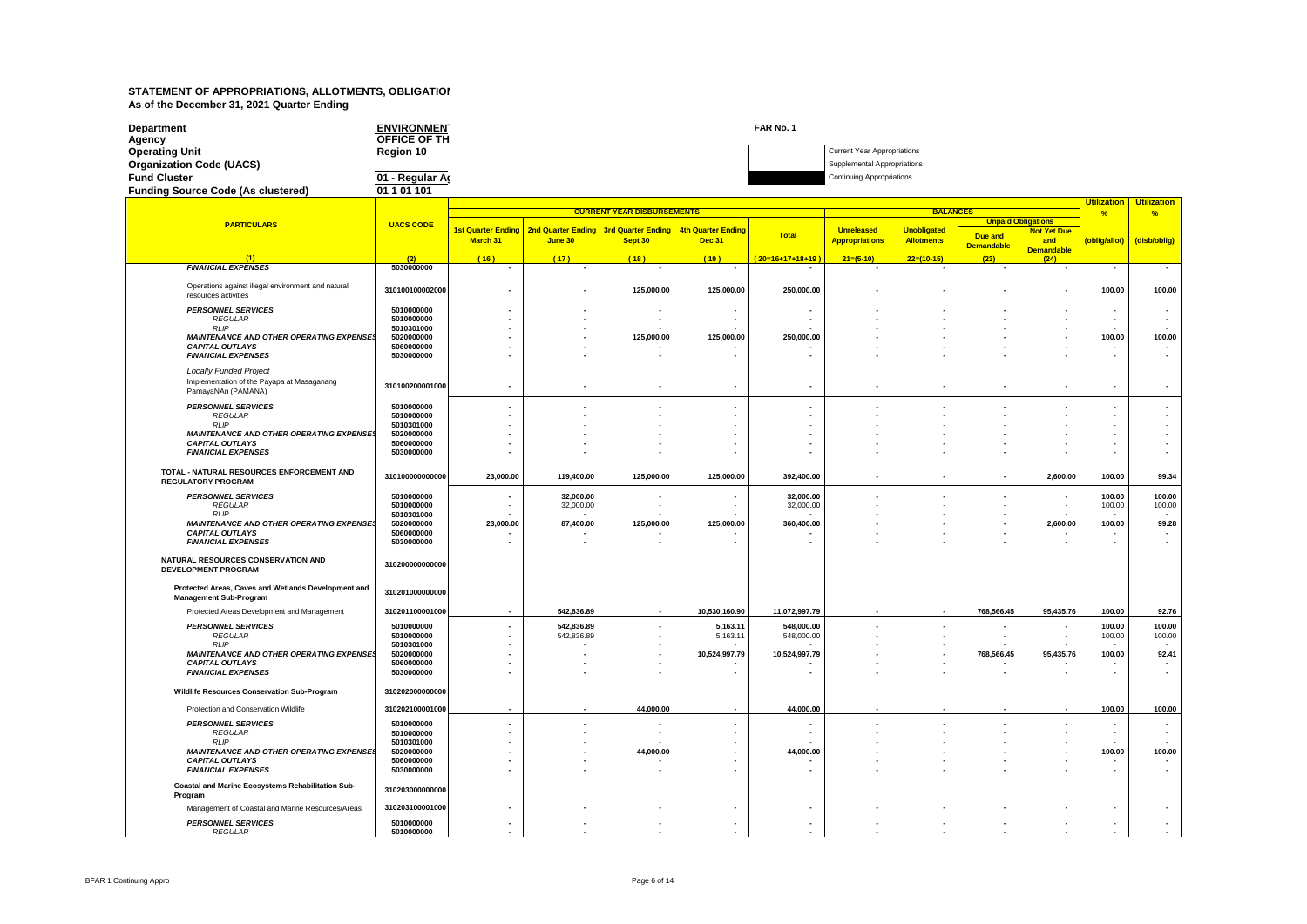| <b>Department</b><br>Agency               | <b>ENVIRONMEN</b><br><b>OFFICE OF TH</b> | FAR No. 1 |                                    |
|-------------------------------------------|------------------------------------------|-----------|------------------------------------|
| <b>Operating Unit</b>                     | <b>Region 10</b>                         |           | <b>Current Year Appropriations</b> |
| <b>Organization Code (UACS)</b>           |                                          |           | Supplemental Appropriations        |
| <b>Fund Cluster</b>                       | 01 - Regular Ar                          |           | <b>Continuing Appropriations</b>   |
| <b>Funding Source Code (As clustered)</b> | 01 1 01 101                              |           |                                    |

#### **(2) PARTICULARS UACS CODE (1) FINANCIAL EXPENSES** Operations against illegal environment and natural Operations against illegal environment and natural **310100100002000**<br>resources activities **PERSONNEL SERVICES**<br>*REGULAR* **5010000000**<br>5010000000 *REGULAR* **5010000000** *RLIP* **5010301000** *MAINTENANCE AND OTHER OPERATING EXPENSES* **5020000000 CAPITAL OUTLAYS 5060000000**<br> **ENANCIAL EXPENSES**<br> **ENANCIAL EXPENSES** *FINANCIAL EXPENSES* **5030000000** *Locally Funded Project* Implementation of the Payapa at Masaganang Implementation of the Payapa at Masaganang<br>
PamayaNAn (PAMANA)<br> **310100200001000** *PERSONNEL SERVICES* **5010000000** *REGULAR* **5010000000** *RLIP* **5010301000** *MAINTENANCE AND OTHER OPERATING EXPENSES* **5020000000** *CAPITAL OUTLAYS* **5060000000 FINANCIAL EXPENSES TOTAL - NATURAL RESOURCES ENFORCEMENT AND REGULATORY PROGRAM 310100000000000** *PERSONNEL SERVICES* **5010000000** *REGULAR* **5010000000** *RLIP* **5010301000** *MAINTENANCE AND OTHER OPERATING EXPENSES* **5020000000** *CAPITAL OUTLAYS* **5060000000 FINANCIAL EXPENSES NATURAL RESOURCES CONSERVATION AND DEVELOPMENT PROGRAM 310200000000000 Protected Areas, Caves and Wetlands Development and Management Sub-Program <sup>310201000000000</sup>** Protected Areas Development and Management **310201100001000 PERSONNEL SERVICES** 5010000000<br>*PEGULAR* 5010000000 *REGULAR* **5010000000** *RLIP* **5010301000** *MAINTENANCE AND OTHER OPERATING EXPENSES* **5020000000 CAPITAL OUTLAYS 5060000000**<br> **EINANCIAL EXPENSES**<br> **50800000000**<br> **50300000000**<br> **50300000000** *FINANCIAL EXPENSES* **5030000000 Wildlife Resources Conservation Sub-Program 310202000000000** Protection and Conservation Wildlife **310202100001000** *PERSONNEL SERVICES* **5010000000 REGULAR** 5010000000<br>
REGULAR
5010000000<br>
RLIP 5010301000 *RLIP* **5010301000** *MAINTENANCE AND OTHER OPERATING EXPENSES* **5020000000 CAPITAL OUTLAYS**<br> **EINANCIAL EXPENSES**<br> **50600000000**<br> **50300000000**<br>
50300000000 *FINANCIAL EXPENSES* **5030000000 Coastal and Marine Ecosystems Rehabilitation Sub-Program 310203000000000** Management of Coastal and Marine Resources/Areas **310203100001000** *PERSONNEL SERVICES* **5010000000** *REGULAR* **5010000000 Utilization Utilization % % Due and Demandable Not Yet Due and Demandable (oblig/allot) (disb/oblig) ( 16 ) ( 17 ) ( 18 ) ( 19 ) ( 20=16+17+18+19 ) 21=(5-10) 22=(10-15) (23) (24) CURRENT YEAR DISBURSEMENTS BALANCE 1st Quarter Ending March 31 2nd Quarter Ending June 30 3rd Quarter Ending Sept 30 4th Quarter Ending Dec 31 Total Unreleased Appropriations Unobligated Allotments Unpaid Obligations - - - - - - - - - - -** 100.00 | 125,000.00 | 125,000.00 | 250,000.00 | - | - | - | - | 100.00 | 100.00  **- - - - - - - - - - -** - - - - - - - - - - - - - - - - - - - - - -  **- - 125,000.00 125,000.00 250,000.00 - - - - 100.00 100.00 - - - - - - - - - - - - - - - - - - - - - - - - - - - - - - - - - - - - - - - - - - - -** - - - - - - - - - - - - - - - - - - - - - -  **- - - - - - - - - - - - - - - - - - - - - - - - - - - - - - - - -** 23,000.00 | 119,400.00 | 125,000.00 | 125,000.00 | 392,400.00 | - | - | - | 2,600.00 | 100.00 | 99.34 100.00 | 32,000.00 | - | - | 32,000.00 | - | - | - | - | 100.00 | 100.00 | - | - | 100.00 | - | - | 100.00 | - | - | 32,000.00 | - | - | 32,000.00 | - | - | - | - | 100.00 | 100.00 - - - - - - - - - - - 23,000.00 **87,400.00 125,000.00 125,000.00** 125,000.00 360,400.00 - - - - - - - - 2,600.00 100.00 99.28  **- - - - - - - - - - - - - - - - - - - - - - - | 542,836.89 | - | 10,530,160.90 | 11,072,997.79 | - | - | 768,566.45 | 95,435.76 | 100.00 | 92.76** - | 542,836.89 | - | 5,163.11 | 548,000.00 | - | - | - | - | 100.00 | 100.00 - | 542,836.89 | - | 5,163.11 | 548,000.00 | - | - | - | - | 100.00 | 100.00 - - - - - - - - - - - **- | - | - | 10,524,997.79 | 10,524,997.79 | - | - | 768,566.45 | 95,435.76 | 100.00 | 92.41 - - - - - - - - - - - - - - - - - - - - - -** 100.00 | ما | 44,000.00 | - | 44,000.00 | - | - | - | 100.00 | 100.00 | 100.00 | - | - | 100.00 | - | - | 100.00  **- - - - - - - - - - -** - - - - - - - - - - - - - - - - - - - - - - 100.00 | ما | 44,000.00 | - | 44,000.00 | - | - | - | 100.00 | 100.00 | 100.00 | - | - | 100.00 | - | - | 100.00  **- - - - - - - - - - - - - - - - - - - - - - - - - - - - - - - - - - - - - - - - - - - -** - - - - - - - - - - -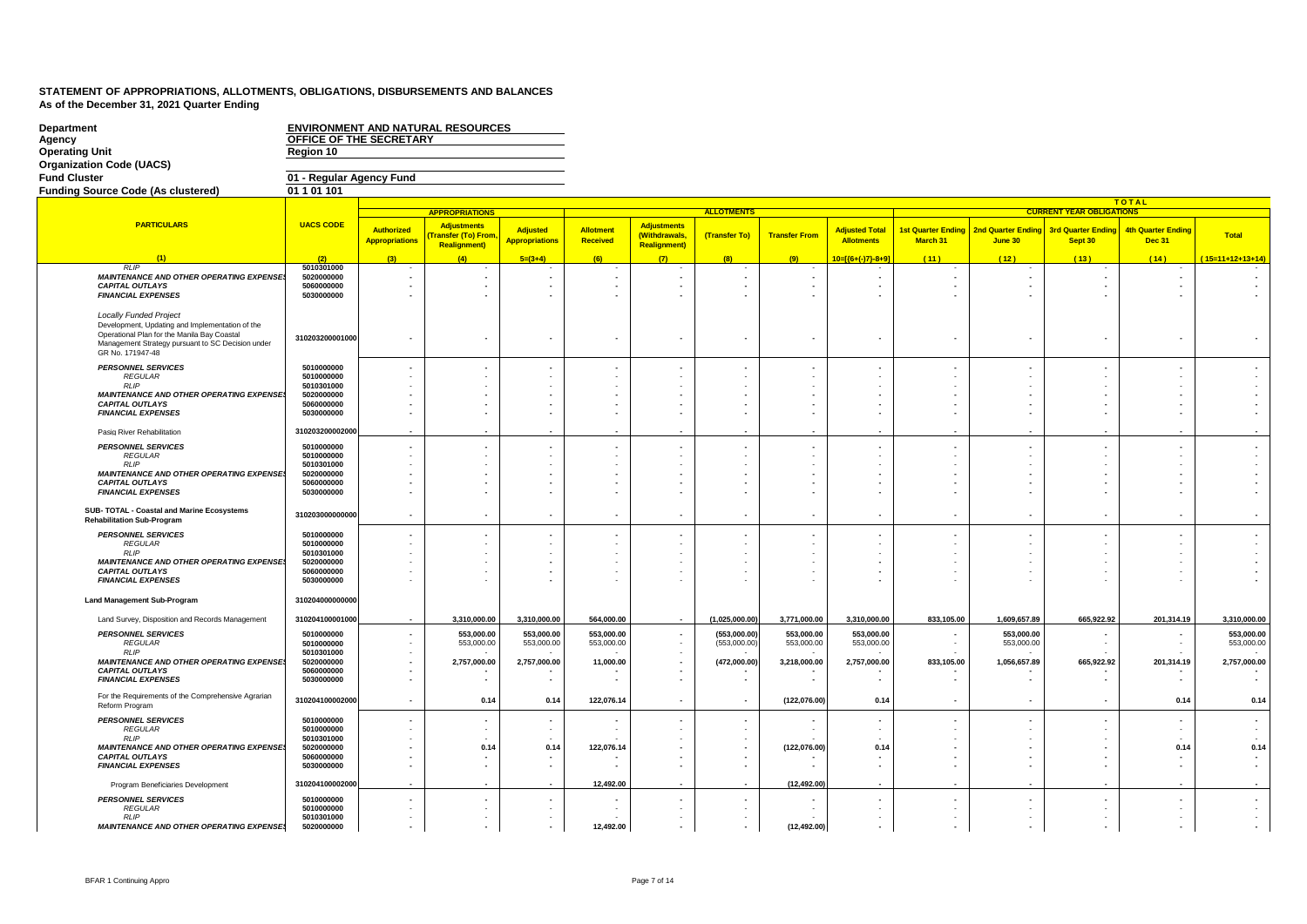| <b>Department</b><br>Agency                                                                                                                                                                              | OFFICE OF THE SECRETARY                              |                                            | <b>ENVIRONMENT AND NATURAL RESOURCES</b>                       |                                          |                          |                                                            |                              |                          |                                            |                                                                                  |                                                      |                                      |                                            |                          |
|----------------------------------------------------------------------------------------------------------------------------------------------------------------------------------------------------------|------------------------------------------------------|--------------------------------------------|----------------------------------------------------------------|------------------------------------------|--------------------------|------------------------------------------------------------|------------------------------|--------------------------|--------------------------------------------|----------------------------------------------------------------------------------|------------------------------------------------------|--------------------------------------|--------------------------------------------|--------------------------|
| <b>Operating Unit</b>                                                                                                                                                                                    | Region 10                                            |                                            |                                                                |                                          |                          |                                                            |                              |                          |                                            |                                                                                  |                                                      |                                      |                                            |                          |
| <b>Organization Code (UACS)</b><br><b>Fund Cluster</b>                                                                                                                                                   | 01 - Regular Agency Fund                             |                                            |                                                                |                                          |                          |                                                            |                              |                          |                                            |                                                                                  |                                                      |                                      |                                            |                          |
| <b>Funding Source Code (As clustered)</b>                                                                                                                                                                | 01 1 01 101                                          |                                            |                                                                |                                          |                          |                                                            |                              |                          |                                            |                                                                                  |                                                      |                                      |                                            |                          |
|                                                                                                                                                                                                          |                                                      |                                            |                                                                |                                          |                          |                                                            |                              |                          |                                            |                                                                                  |                                                      |                                      | <b>TOTAL</b>                               |                          |
|                                                                                                                                                                                                          |                                                      |                                            | <b>APPROPRIATIONS</b>                                          |                                          |                          |                                                            | <b>ALLOTMENTS</b>            |                          |                                            |                                                                                  |                                                      | <b>CURRENT YEAR OBLIGATIONS</b>      |                                            |                          |
| <b>PARTICULARS</b>                                                                                                                                                                                       | <b>UACS CODE</b>                                     | <b>Authorized</b><br><b>Appropriations</b> | <b>Adjustments</b><br>ransfer (To) From<br><b>Realignment)</b> | <b>Adjusted</b><br><b>Appropriations</b> | Allotment<br>Received    | <b>Adjustments</b><br>(Withdrawals,<br><b>Realignment)</b> | (Transfer To)                | <b>Transfer From</b>     | <b>Adjusted Total</b><br><b>Allotments</b> | <b>1st Quarter Ending</b><br>March 31                                            | <b>2nd Quarter Endin</b><br>June 30                  | <b>3rd Quarter Ending</b><br>Sept 30 | <b>4th Quarter Ending</b><br><b>Dec 31</b> | <b>Total</b>             |
|                                                                                                                                                                                                          | (2)                                                  | (3)                                        | (4)                                                            | $5=(3+4)$                                | (6)                      | $\mathcal{L}$                                              | (8)                          | (9)                      | 10=[{6+(-)7}-8+9]                          | (11)                                                                             | (12)                                                 | (13)                                 | (14)                                       | $(15=11+12+13+14)$       |
| <b>RLIP</b>                                                                                                                                                                                              | 5010301000                                           |                                            |                                                                |                                          |                          |                                                            |                              |                          |                                            |                                                                                  |                                                      |                                      |                                            |                          |
| <b>MAINTENANCE AND OTHER OPERATING EXPENSE</b><br><b>CAPITAL OUTLAYS</b><br><b>FINANCIAL EXPENSES</b>                                                                                                    | 5020000000<br>5060000000<br>5030000000               |                                            |                                                                |                                          |                          |                                                            |                              |                          | $\overline{\phantom{a}}$<br>٠              | $\blacksquare$                                                                   | $\overline{\phantom{a}}$<br>$\overline{\phantom{a}}$ |                                      |                                            |                          |
| <b>Locally Funded Project</b><br>Development, Updating and Implementation of the<br>Operational Plan for the Manila Bay Coastal<br>Management Strategy pursuant to SC Decision under<br>GR No. 171947-48 | 310203200001000                                      |                                            |                                                                |                                          |                          |                                                            |                              |                          | $\overline{\phantom{a}}$                   | $\overline{\phantom{a}}$                                                         | $\overline{\phantom{a}}$                             |                                      |                                            |                          |
| <b>PERSONNEL SERVICES</b><br><b>REGULAR</b><br><b>RLIP</b>                                                                                                                                               | 5010000000<br>5010000000<br>5010301000               |                                            |                                                                |                                          |                          |                                                            |                              |                          |                                            | $\overline{\phantom{a}}$                                                         | $\overline{\phantom{a}}$<br>$\sim$                   |                                      |                                            |                          |
| MAINTENANCE AND OTHER OPERATING EXPENSE<br><b>CAPITAL OUTLAYS</b><br><b>FINANCIAL EXPENSES</b>                                                                                                           | 5020000000<br>5060000000<br>5030000000               |                                            |                                                                |                                          |                          |                                                            |                              |                          |                                            | $\overline{\phantom{a}}$<br>$\overline{\phantom{a}}$<br>$\overline{\phantom{a}}$ | $\overline{\phantom{a}}$<br>$\overline{\phantom{a}}$ |                                      |                                            |                          |
| Pasig River Rehabilitation                                                                                                                                                                               | 310203200002000                                      |                                            |                                                                |                                          |                          |                                                            |                              |                          |                                            |                                                                                  |                                                      |                                      |                                            |                          |
| <b>PERSONNEL SERVICES</b><br><b>REGULAR</b>                                                                                                                                                              | 5010000000<br>5010000000                             |                                            |                                                                |                                          |                          |                                                            |                              |                          | $\overline{\phantom{a}}$                   |                                                                                  | $\blacksquare$                                       |                                      |                                            |                          |
| <b>RLIP</b><br><b>MAINTENANCE AND OTHER OPERATING EXPENSE!</b><br><b>CAPITAL OUTLAYS</b><br><b>FINANCIAL EXPENSES</b>                                                                                    | 5010301000<br>5020000000<br>5060000000<br>5030000000 |                                            |                                                                |                                          |                          |                                                            |                              |                          |                                            | $\overline{\phantom{a}}$<br>$\blacksquare$<br>$\overline{\phantom{a}}$           | $\overline{\phantom{a}}$                             |                                      |                                            |                          |
| SUB- TOTAL - Coastal and Marine Ecosystems<br><b>Rehabilitation Sub-Program</b>                                                                                                                          | 310203000000000                                      |                                            | $\overline{\phantom{a}}$                                       |                                          |                          |                                                            |                              |                          | $\sim$                                     | $\blacksquare$                                                                   | $\overline{\phantom{a}}$                             |                                      | $\overline{\phantom{a}}$                   |                          |
| <b>PERSONNEL SERVICES</b><br><b>REGULAR</b>                                                                                                                                                              | 5010000000<br>5010000000                             |                                            |                                                                |                                          |                          |                                                            |                              |                          |                                            | $\overline{\phantom{a}}$                                                         |                                                      |                                      |                                            |                          |
| <b>RLIP</b><br><b>MAINTENANCE AND OTHER OPERATING EXPENSE</b><br><b>CAPITAL OUTLAYS</b><br><b>FINANCIAL EXPENSES</b>                                                                                     | 5010301000<br>5020000000<br>5060000000<br>5030000000 |                                            |                                                                |                                          |                          |                                                            |                              |                          |                                            | $\overline{\phantom{a}}$                                                         | $\sim$                                               |                                      |                                            |                          |
| <b>Land Management Sub-Program</b>                                                                                                                                                                       | 310204000000000                                      |                                            |                                                                |                                          |                          |                                                            |                              |                          |                                            |                                                                                  |                                                      |                                      |                                            |                          |
| Land Survey, Disposition and Records Management                                                                                                                                                          | 310204100001000                                      |                                            | 3,310,000.00                                                   | 3,310,000.00                             | 564,000.00               |                                                            | (1,025,000.00)               | 3,771,000.00             | 3,310,000.00                               | 833,105.00                                                                       | 1,609,657.89                                         | 665,922.92                           | 201,314.19                                 | 3,310,000.00             |
| <b>PERSONNEL SERVICES</b><br><b>REGULAR</b><br><b>RLIP</b>                                                                                                                                               | 5010000000<br>5010000000                             |                                            | 553.000.00<br>553,000.00                                       | 553.000.00<br>553,000.00                 | 553.000.00<br>553,000.00 |                                                            | (553.000.00)<br>(553,000.00) | 553.000.00<br>553,000.00 | 553.000.00<br>553,000.00                   |                                                                                  | 553.000.00<br>553,000.00                             |                                      |                                            | 553.000.00<br>553,000.00 |
| <b>MAINTENANCE AND OTHER OPERATING EXPENSE!</b>                                                                                                                                                          | 5010301000<br>5020000000                             |                                            | 2,757,000.00                                                   | 2,757,000.00                             | 11,000.00                |                                                            | (472,000.00)                 | 3,218,000.00             | 2,757,000.00                               | 833,105.00                                                                       | 1,056,657.89                                         | 665,922.92                           | 201,314.19                                 | 2,757,000.00             |
| <b>CAPITAL OUTLAYS</b><br><b>FINANCIAL EXPENSES</b>                                                                                                                                                      | 5060000000<br>5030000000                             |                                            | $\overline{\phantom{a}}$                                       |                                          |                          |                                                            |                              |                          | $\overline{\phantom{a}}$                   | $\overline{\phantom{a}}$                                                         | $\overline{\phantom{a}}$                             |                                      |                                            |                          |
| For the Requirements of the Comprehensive Agrarian<br>Reform Program                                                                                                                                     | 310204100002000                                      | $\overline{\phantom{a}}$                   | 0.14                                                           | 0.14                                     | 122,076.14               |                                                            |                              | (122,076.00)             | 0.14                                       | $\blacksquare$                                                                   | $\overline{\phantom{a}}$                             |                                      | 0.14                                       | 0.14                     |
| <b>PERSONNEL SERVICES</b><br><b>REGULAR</b><br><b>RLIP</b>                                                                                                                                               | 5010000000<br>5010000000<br>5010301000               |                                            |                                                                |                                          |                          |                                                            |                              |                          | $\blacksquare$<br>$\sim$                   | ÷                                                                                |                                                      |                                      |                                            |                          |
| <b>MAINTENANCE AND OTHER OPERATING EXPENSE!</b>                                                                                                                                                          | 5020000000                                           |                                            | 0.14                                                           | 0.14                                     | 122,076.14               |                                                            |                              | (122,076.00)             | 0.14                                       | $\blacksquare$                                                                   | $\overline{\phantom{a}}$                             |                                      | 0.14                                       | 0.14                     |
| <b>CAPITAL OUTLAYS</b><br><b>FINANCIAL EXPENSES</b>                                                                                                                                                      | 5060000000<br>5030000000                             |                                            |                                                                |                                          | $\overline{\phantom{a}}$ |                                                            |                              |                          | $\overline{\phantom{a}}$                   | $\overline{\phantom{a}}$<br>$\blacksquare$                                       | $\overline{\phantom{a}}$<br>$\overline{\phantom{a}}$ |                                      |                                            |                          |
| Program Beneficiaries Development                                                                                                                                                                        | 310204100002000                                      |                                            |                                                                |                                          | 12,492.00                |                                                            |                              | (12, 492.00)             |                                            |                                                                                  |                                                      |                                      |                                            |                          |
| <b>PERSONNEL SERVICES</b><br><b>REGULAR</b>                                                                                                                                                              | 5010000000<br>5010000000                             |                                            |                                                                |                                          |                          |                                                            |                              |                          | $\overline{\phantom{a}}$                   |                                                                                  | $\overline{\phantom{a}}$                             |                                      |                                            |                          |
| <b>RLIP</b><br><b>MAINTENANCE AND OTHER OPERATING EXPENSE.</b>                                                                                                                                           | 5010301000<br>5020000000                             |                                            |                                                                |                                          | 12,492.00                |                                                            |                              | (12, 492.00)             | ÷.                                         | $\mathbf{r}$<br>$\overline{a}$                                                   | $\sim$                                               |                                      |                                            |                          |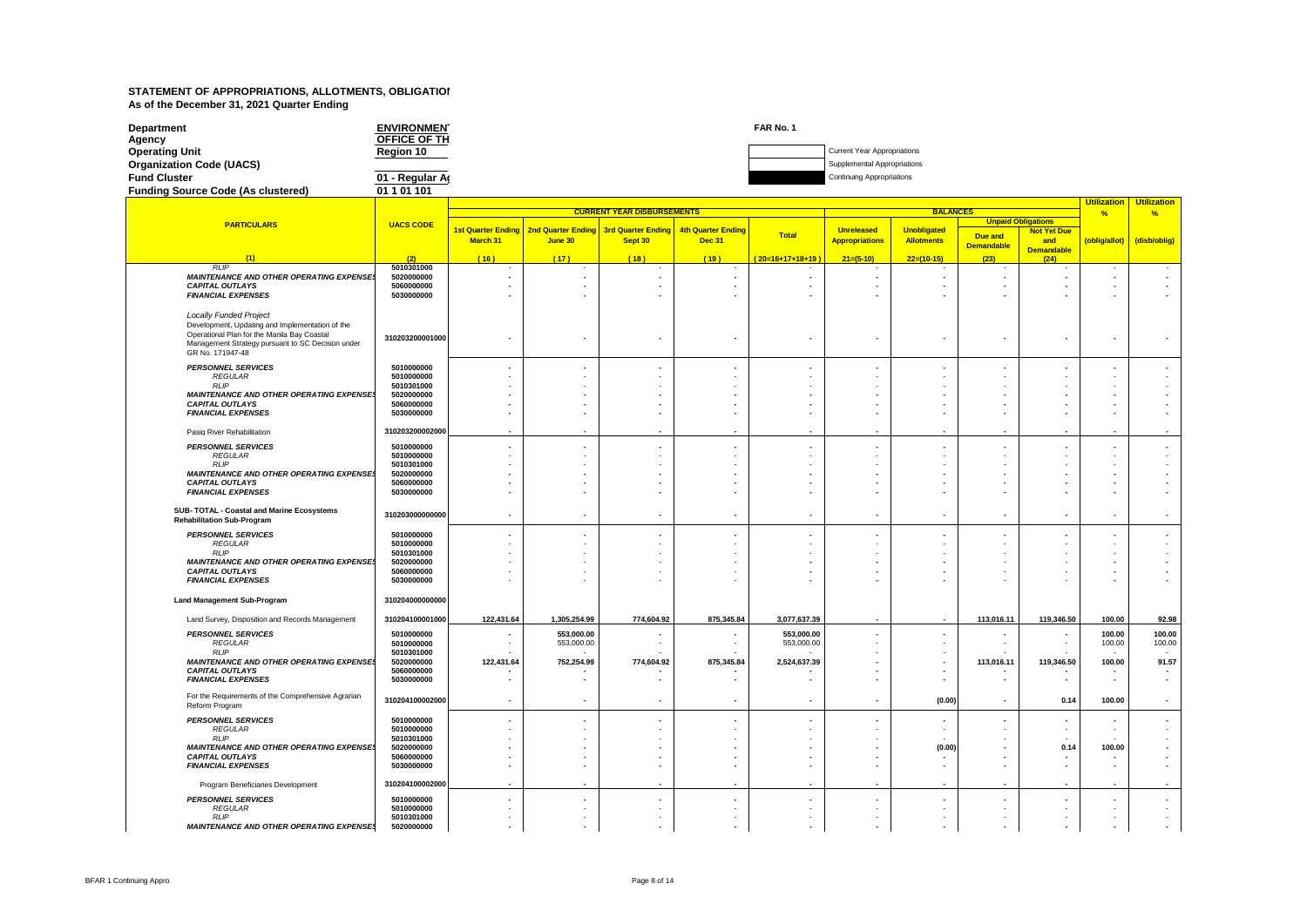| Department                                | <b>ENVIRONMEN</b> | FAR No. 1 |                                    |
|-------------------------------------------|-------------------|-----------|------------------------------------|
| Agency                                    | OFFICE OF TH      |           |                                    |
| <b>Operating Unit</b>                     | Region 10         |           | <b>Current Year Appropriations</b> |
| <b>Organization Code (UACS)</b>           |                   |           | Supplemental Appropriations        |
| <b>Fund Cluster</b>                       | 01 - Regular Ar   |           | <b>Continuing Appropriations</b>   |
| <b>Funding Source Code (As clustered)</b> | 01 1 01 101       |           |                                    |

|                                                                                 |                          | <b>CURRENT YEAR DISBURSEMENTS</b><br><b>BALANCES</b> |                           |                           |                          |                          |                       |                          |                   |                           | <b>Utilization</b><br>%  | <b>Utilization</b><br>%            |
|---------------------------------------------------------------------------------|--------------------------|------------------------------------------------------|---------------------------|---------------------------|--------------------------|--------------------------|-----------------------|--------------------------|-------------------|---------------------------|--------------------------|------------------------------------|
| <b>PARTICULARS</b>                                                              | <b>UACS CODE</b>         |                                                      |                           |                           |                          |                          |                       |                          |                   | <b>Unpaid Obligations</b> |                          |                                    |
|                                                                                 |                          | <b>1st Quarter Ending</b>                            | <b>2nd Quarter Ending</b> | <b>3rd Quarter Ending</b> | 4th Quarter Ending       | <b>Total</b>             | <b>Unreleased</b>     | <b>Unobligated</b>       | Due and           | <b>Not Yet Due</b>        |                          |                                    |
|                                                                                 |                          | March 31                                             | June 30                   | Sept 30                   | <b>Dec 31</b>            |                          | <b>Appropriations</b> | <b>Allotments</b>        | <b>Demandable</b> | and<br><b>Demandable</b>  | (oblig/allot)            | (disb/oblig)                       |
| (1)                                                                             | (2)                      | (16)                                                 | (17)                      | (18)                      | (19)                     | (20=16+17+18+19)         | $21=(5-10)$           | $22=(10-15)$             | (23)              | (24)                      |                          |                                    |
| <b>RLIP</b>                                                                     | 5010301000               |                                                      |                           |                           |                          |                          |                       |                          |                   |                           |                          |                                    |
| <b>MAINTENANCE AND OTHER OPERATING EXPENSES</b><br><b>CAPITAL OUTLAYS</b>       | 5020000000<br>5060000000 |                                                      |                           |                           |                          |                          |                       | $\overline{\phantom{a}}$ | $\blacksquare$    |                           |                          |                                    |
| <b>FINANCIAL EXPENSES</b>                                                       | 5030000000               |                                                      |                           |                           |                          |                          |                       |                          |                   |                           |                          |                                    |
|                                                                                 |                          |                                                      |                           |                           |                          |                          |                       |                          |                   |                           |                          |                                    |
| <b>Locally Funded Project</b>                                                   |                          |                                                      |                           |                           |                          |                          |                       |                          |                   |                           |                          |                                    |
| Development, Updating and Implementation of the                                 |                          |                                                      |                           |                           |                          |                          |                       |                          |                   |                           |                          |                                    |
| Operational Plan for the Manila Bay Coastal                                     | 310203200001000          |                                                      |                           |                           |                          | $\overline{\phantom{0}}$ |                       |                          |                   |                           |                          |                                    |
| Management Strategy pursuant to SC Decision under<br>GR No. 171947-48           |                          |                                                      |                           |                           |                          |                          |                       |                          |                   |                           |                          |                                    |
|                                                                                 |                          |                                                      |                           |                           |                          |                          |                       |                          |                   |                           |                          |                                    |
| <b>PERSONNEL SERVICES</b><br><b>REGULAR</b>                                     | 5010000000<br>5010000000 |                                                      |                           |                           |                          |                          |                       |                          |                   |                           |                          |                                    |
| <b>RLIP</b>                                                                     | 5010301000               |                                                      |                           |                           |                          |                          |                       |                          |                   |                           |                          |                                    |
| <b>MAINTENANCE AND OTHER OPERATING EXPENSES</b>                                 | 5020000000               |                                                      |                           |                           |                          |                          |                       |                          |                   |                           |                          |                                    |
| <b>CAPITAL OUTLAYS</b><br><b>FINANCIAL EXPENSES</b>                             | 5060000000<br>5030000000 |                                                      |                           |                           |                          |                          |                       |                          |                   |                           |                          |                                    |
|                                                                                 |                          |                                                      |                           |                           |                          |                          |                       |                          |                   |                           |                          |                                    |
| Pasig River Rehabilitation                                                      | 310203200002000          |                                                      |                           |                           |                          |                          |                       |                          |                   |                           |                          |                                    |
| <b>PERSONNEL SERVICES</b>                                                       | 5010000000               |                                                      |                           |                           |                          | $\overline{\phantom{a}}$ |                       |                          |                   |                           |                          |                                    |
| <b>REGULAR</b>                                                                  | 5010000000               |                                                      |                           |                           |                          |                          |                       |                          |                   |                           |                          |                                    |
| <b>RLIP</b>                                                                     | 5010301000               |                                                      |                           |                           |                          |                          |                       |                          |                   |                           |                          |                                    |
| <b>MAINTENANCE AND OTHER OPERATING EXPENSES</b><br><b>CAPITAL OUTLAYS</b>       | 5020000000<br>5060000000 |                                                      |                           |                           |                          |                          |                       |                          |                   |                           |                          |                                    |
| <b>FINANCIAL EXPENSES</b>                                                       | 5030000000               |                                                      |                           |                           |                          |                          |                       |                          |                   |                           |                          |                                    |
|                                                                                 |                          |                                                      |                           |                           |                          |                          |                       |                          |                   |                           |                          |                                    |
| SUB- TOTAL - Coastal and Marine Ecosystems<br><b>Rehabilitation Sub-Program</b> | 310203000000000          |                                                      | $\overline{\phantom{a}}$  |                           | $\overline{\phantom{a}}$ | $\overline{\phantom{a}}$ |                       | $\overline{\phantom{a}}$ |                   |                           |                          |                                    |
| <b>PERSONNEL SERVICES</b>                                                       | 5010000000               |                                                      |                           |                           |                          | $\overline{a}$           |                       |                          |                   |                           |                          |                                    |
| <b>REGULAR</b>                                                                  | 5010000000               |                                                      |                           |                           |                          |                          |                       |                          |                   |                           |                          |                                    |
| RLP<br><b>MAINTENANCE AND OTHER OPERATING EXPENSES</b>                          | 5010301000<br>5020000000 |                                                      |                           |                           |                          |                          |                       |                          |                   |                           |                          |                                    |
| <b>CAPITAL OUTLAYS</b>                                                          | 5060000000               |                                                      |                           |                           |                          |                          |                       |                          |                   |                           |                          |                                    |
| <b>FINANCIAL EXPENSES</b>                                                       | 5030000000               |                                                      |                           |                           |                          |                          |                       |                          |                   |                           |                          |                                    |
| <b>Land Management Sub-Program</b>                                              | 310204000000000          |                                                      |                           |                           |                          |                          |                       |                          |                   |                           |                          |                                    |
| Land Survey, Disposition and Records Management                                 | 310204100001000          | 122,431.64                                           | 1,305,254.99              | 774,604.92                | 875,345.84               | 3,077,637.39             |                       | $\blacksquare$           | 113,016.11        | 119,346.50                | 100.00                   | 92.98                              |
| <b>PERSONNEL SERVICES</b>                                                       | 5010000000               |                                                      | 553,000.00                |                           |                          | 553,000.00               |                       |                          |                   |                           | 100.00                   | 100.00                             |
| <b>REGULAR</b>                                                                  | 5010000000               |                                                      | 553,000.00                |                           | $\overline{\phantom{a}}$ | 553,000.00               |                       |                          | $\sim$            |                           | 100.00                   | 100.00                             |
| <b>RLIP</b>                                                                     | 5010301000               |                                                      |                           |                           |                          |                          |                       |                          |                   |                           |                          | $\overline{\phantom{a}}$           |
| <b>MAINTENANCE AND OTHER OPERATING EXPENSES</b><br><b>CAPITAL OUTLAYS</b>       | 5020000000<br>5060000000 | 122,431.64                                           | 752,254.99                | 774,604.92                | 875,345.84               | 2,524,637.39             |                       |                          | 113,016.11        | 119,346.50                | 100.00                   | 91.57                              |
| <b>FINANCIAL EXPENSES</b>                                                       | 5030000000               |                                                      |                           |                           |                          | $\overline{\phantom{a}}$ |                       | $\blacksquare$           | $\sim$            |                           | $\overline{\phantom{a}}$ | $\overline{\phantom{a}}$<br>$\sim$ |
|                                                                                 |                          |                                                      |                           |                           |                          |                          |                       |                          |                   |                           |                          |                                    |
| For the Requirements of the Comprehensive Agrarian<br>Reform Program            | 310204100002000          |                                                      |                           |                           |                          | ٠                        |                       | (0.00)                   | $\blacksquare$    | 0.14                      | 100.00                   |                                    |
| <b>PERSONNEL SERVICES</b>                                                       | 5010000000               |                                                      |                           |                           |                          |                          |                       |                          |                   |                           |                          |                                    |
| <b>REGULAR</b><br><b>RLIP</b>                                                   | 5010000000               |                                                      |                           |                           |                          |                          |                       |                          |                   |                           |                          |                                    |
| <b>MAINTENANCE AND OTHER OPERATING EXPENSES</b>                                 | 5010301000<br>5020000000 |                                                      |                           |                           |                          |                          |                       | (0.00)                   |                   | 0.14                      | 100.00                   |                                    |
| <b>CAPITAL OUTLAYS</b>                                                          | 5060000000               |                                                      |                           |                           |                          |                          |                       |                          |                   |                           |                          |                                    |
| <b>FINANCIAL EXPENSES</b>                                                       | 5030000000               |                                                      |                           |                           |                          |                          |                       | $\overline{\phantom{a}}$ |                   |                           |                          |                                    |
| Program Beneficiaries Development                                               | 310204100002000          |                                                      |                           |                           |                          |                          |                       |                          |                   |                           |                          |                                    |
| <b>PERSONNEL SERVICES</b>                                                       | 5010000000               |                                                      |                           |                           |                          |                          |                       |                          |                   |                           |                          |                                    |
| <b>REGULAR</b>                                                                  | 5010000000               |                                                      |                           |                           |                          |                          |                       |                          |                   |                           |                          |                                    |
| <b>RLIP</b><br><b>MAINTENANCE AND OTHER OPERATING EXPENSES</b>                  | 5010301000<br>5020000000 |                                                      |                           |                           |                          |                          |                       |                          |                   |                           |                          |                                    |
|                                                                                 |                          |                                                      |                           |                           |                          |                          |                       |                          |                   |                           |                          |                                    |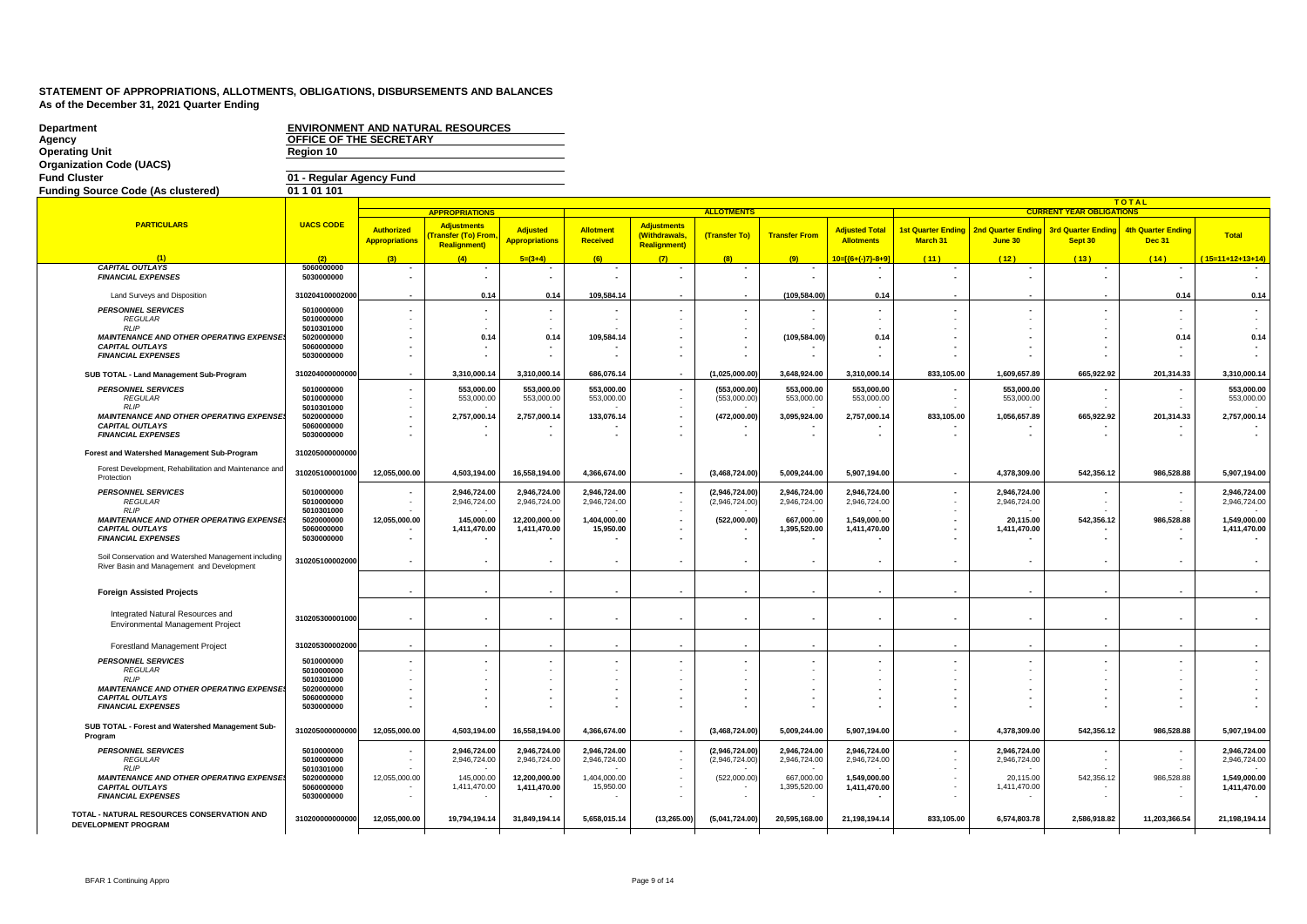| <b>Department</b><br>Agency<br><b>Operating Unit</b><br><b>Organization Code (UACS)</b>               | OFFICE OF THE SECRETARY<br>Region 10                 |                                            | <b>ENVIRONMENT AND NATURAL RESOURCES</b>                        |                                                      |                              |                                                             |                                  |                              |                                            |                                       |                                      |                                      |                                            |                              |
|-------------------------------------------------------------------------------------------------------|------------------------------------------------------|--------------------------------------------|-----------------------------------------------------------------|------------------------------------------------------|------------------------------|-------------------------------------------------------------|----------------------------------|------------------------------|--------------------------------------------|---------------------------------------|--------------------------------------|--------------------------------------|--------------------------------------------|------------------------------|
| <b>Fund Cluster</b>                                                                                   | 01 - Regular Agency Fund<br>01 1 01 101              |                                            |                                                                 |                                                      |                              |                                                             |                                  |                              |                                            |                                       |                                      |                                      |                                            |                              |
| <b>Funding Source Code (As clustered)</b>                                                             |                                                      |                                            |                                                                 |                                                      |                              |                                                             |                                  |                              |                                            |                                       |                                      |                                      | <b>TOTAL</b>                               |                              |
|                                                                                                       |                                                      |                                            | <b>APPROPRIATIONS</b>                                           |                                                      |                              |                                                             | <b>ALLOTMENTS</b>                |                              |                                            |                                       |                                      | <b>CURRENT YEAR OBLIGATIONS</b>      |                                            |                              |
| <b>PARTICULARS</b>                                                                                    | <b>UACS CODE</b>                                     | <b>Authorized</b><br><b>Appropriations</b> | <b>Adjustments</b><br>ransfer (To) From<br><b>Realignment</b> ) | <b>Adjusted</b><br><b>Appropriations</b>             | Allotment<br>Received        | <b>Adjustments</b><br>(Withdrawals,<br><b>Realignment</b> ) | (Transfer To)                    | <b>Transfer From</b>         | <b>Adjusted Total</b><br><b>Allotments</b> | <b>1st Quarter Ending</b><br>March 31 | <b>2nd Quarter Ending</b><br>June 30 | <b>3rd Quarter Ending</b><br>Sept 30 | <b>4th Quarter Ending</b><br><b>Dec 31</b> | Total                        |
| $\overline{11}$                                                                                       | (2)                                                  | (3)                                        | (4)                                                             | $5=(3+4)$                                            | (6)                          | (7)                                                         | (8)                              | (9)                          | 10=[{6+(-)7}-8+9]                          | (11)                                  | (12)                                 | (13)                                 | (14)                                       | $(15=11+12+13+14)$           |
| <b>CAPITAL OUTLAYS</b><br><b>FINANCIAL EXPENSES</b>                                                   | 5060000000<br>5030000000                             |                                            |                                                                 | $\overline{\phantom{a}}$<br>$\overline{\phantom{a}}$ | $\overline{\phantom{a}}$     | $\overline{\phantom{a}}$                                    |                                  |                              |                                            |                                       | $\overline{\phantom{a}}$             |                                      |                                            |                              |
| Land Surveys and Disposition                                                                          | 310204100002000                                      |                                            | 0.14                                                            | 0.14                                                 | 109,584.14                   |                                                             |                                  | (109,584.00)                 | 0.14                                       |                                       |                                      |                                      | 0.14                                       | 0.14                         |
| <b>PERSONNEL SERVICES</b><br><b>REGULAR</b><br>RI IP                                                  | 5010000000<br>5010000000<br>5010301000               |                                            | $\blacksquare$                                                  | $\sim$                                               |                              |                                                             |                                  |                              | ÷                                          | $\sim$<br>$\sim$                      |                                      |                                      |                                            |                              |
| MAINTENANCE AND OTHER OPERATING EXPENSE                                                               | 5020000000                                           |                                            | 0.14                                                            | 0.14                                                 | 109.584.14                   |                                                             |                                  | (109,584.00)                 | 0.14                                       |                                       |                                      |                                      | 0.14                                       | 0.14                         |
| <b>CAPITAL OUTLAYS</b><br><b>FINANCIAL EXPENSES</b>                                                   | 5060000000<br>5030000000                             |                                            |                                                                 |                                                      |                              |                                                             |                                  |                              |                                            |                                       | $\overline{\phantom{a}}$             |                                      |                                            |                              |
| SUB TOTAL - Land Management Sub-Program                                                               | 310204000000000                                      |                                            | 3,310,000.14                                                    | 3,310,000.14                                         | 686,076.14                   |                                                             | (1,025,000.00)                   | 3,648,924.00                 | 3,310,000.14                               | 833,105.00                            | 1,609,657.89                         | 665,922.92                           | 201,314.33                                 | 3,310,000.14                 |
| <b>PERSONNEL SERVICES</b><br><b>REGULAR</b><br><b>RLIP</b>                                            | 5010000000<br>5010000000<br>5010301000               | $\blacksquare$                             | 553,000.00<br>553,000.00                                        | 553,000.00<br>553,000.00                             | 553,000.00<br>553,000.00     |                                                             | (553,000.00)<br>(553,000.00)     | 553,000.00<br>553,000.00     | 553,000.00<br>553,000.00                   |                                       | 553,000.00<br>553,000.00             |                                      |                                            | 553,000.00<br>553,000.00     |
| MAINTENANCE AND OTHER OPERATING EXPENSE                                                               | 5020000000                                           |                                            | 2,757,000.14                                                    | 2,757,000.14                                         | 133,076.14                   |                                                             | (472,000.00)                     | 3,095,924.00                 | 2,757,000.14                               | 833,105.00                            | 1,056,657.89                         | 665,922.92                           | 201,314.33                                 | 2,757,000.14                 |
| <b>CAPITAL OUTLAYS</b><br><b>FINANCIAL EXPENSES</b>                                                   | 5060000000<br>5030000000                             |                                            |                                                                 |                                                      |                              |                                                             |                                  | $\overline{\phantom{a}}$     |                                            |                                       |                                      |                                      |                                            |                              |
| Forest and Watershed Management Sub-Program                                                           | 310205000000000                                      |                                            |                                                                 |                                                      |                              |                                                             |                                  |                              |                                            |                                       |                                      |                                      |                                            |                              |
| Forest Development, Rehabilitation and Maintenance and<br>Protection                                  | 310205100001000                                      | 12,055,000.00                              | 4,503,194.00                                                    | 16,558,194.00                                        | 4,366,674.00                 |                                                             | (3,468,724.00)                   | 5,009,244.00                 | 5,907,194.00                               | $\overline{\phantom{a}}$              | 4,378,309.00                         | 542,356.12                           | 986,528.88                                 | 5,907,194.00                 |
| <b>PERSONNEL SERVICES</b><br><b>REGULAR</b><br><b>RLIP</b>                                            | 5010000000<br>5010000000<br>5010301000               |                                            | 2,946,724.00<br>2,946,724.00                                    | 2,946,724.00<br>2,946,724.00                         | 2,946,724.00<br>2,946,724.00 |                                                             | (2,946,724.00)<br>(2,946,724.00) | 2,946,724.00<br>2,946,724.00 | 2,946,724.00<br>2,946,724.00               | $\overline{\phantom{a}}$              | 2,946,724.00<br>2,946,724.00         |                                      |                                            | 2,946,724.00<br>2,946,724.00 |
| <b>MAINTENANCE AND OTHER OPERATING EXPENSE</b><br><b>CAPITAL OUTLAYS</b><br><b>FINANCIAL EXPENSES</b> | 5020000000<br>5060000000<br>5030000000               | 12,055,000.00                              | 145,000.00<br>1,411,470.00                                      | 12,200,000.00<br>1,411,470.00                        | 1,404,000.00<br>15,950.00    |                                                             | (522,000.00)                     | 667,000.00<br>1,395,520.00   | 1,549,000.00<br>1,411,470.00               | ٠                                     | 20,115.00<br>1,411,470.00            | 542,356.12                           | 986,528.88                                 | 1,549,000.00<br>1,411,470.00 |
| Soil Conservation and Watershed Management including<br>River Basin and Management and Development    | 310205100002000                                      |                                            |                                                                 |                                                      |                              |                                                             |                                  |                              |                                            |                                       |                                      |                                      |                                            |                              |
| <b>Foreign Assisted Projects</b>                                                                      |                                                      |                                            |                                                                 |                                                      |                              |                                                             |                                  |                              |                                            |                                       | $\overline{\phantom{a}}$             |                                      |                                            |                              |
| Integrated Natural Resources and<br><b>Environmental Management Project</b>                           | 310205300001000                                      |                                            |                                                                 |                                                      |                              |                                                             |                                  |                              |                                            |                                       |                                      |                                      |                                            |                              |
| <b>Forestland Management Project</b>                                                                  | 310205300002000                                      |                                            |                                                                 |                                                      |                              |                                                             |                                  |                              |                                            |                                       |                                      |                                      |                                            |                              |
| <b>PERSONNEL SERVICES</b><br><b>REGULAR</b>                                                           | 5010000000<br>5010000000                             |                                            |                                                                 |                                                      |                              |                                                             |                                  |                              |                                            | $\sim$                                |                                      |                                      |                                            |                              |
| <b>RLIP</b>                                                                                           | 5010301000                                           |                                            |                                                                 |                                                      |                              |                                                             |                                  |                              |                                            |                                       |                                      |                                      |                                            |                              |
| MAINTENANCE AND OTHER OPERATING EXPENSE<br><b>CAPITAL OUTLAYS</b>                                     | 5020000000<br>5060000000                             |                                            |                                                                 |                                                      |                              |                                                             |                                  |                              |                                            |                                       |                                      |                                      |                                            |                              |
| <b>FINANCIAL EXPENSES</b>                                                                             | 5030000000                                           |                                            |                                                                 |                                                      |                              |                                                             |                                  |                              |                                            |                                       |                                      |                                      |                                            |                              |
| SUB TOTAL - Forest and Watershed Management Sub-<br>Program                                           | 310205000000000                                      | 12,055,000.00                              | 4,503,194.00                                                    | 16,558,194.00                                        | 4,366,674.00                 |                                                             | (3,468,724.00)                   | 5,009,244.00                 | 5,907,194.00                               | $\overline{\phantom{a}}$              | 4,378,309.00                         | 542,356.12                           | 986,528.88                                 | 5,907,194.00                 |
| <b>PERSONNEL SERVICES</b><br><b>REGULAR</b><br>RI IP                                                  | 5010000000<br>5010000000                             |                                            | 2,946,724.00<br>2,946,724.00                                    | 2,946,724.00<br>2,946,724.00                         | 2,946,724.00<br>2,946,724.00 |                                                             | (2,946,724.00)<br>(2,946,724.00) | 2,946,724.00<br>2,946,724.00 | 2,946,724.00<br>2,946,724.00               | $\blacksquare$                        | 2,946,724.00<br>2,946,724.00         |                                      |                                            | 2,946,724.00<br>2,946,724.00 |
| MAINTENANCE AND OTHER OPERATING EXPENSE<br><b>CAPITAL OUTLAYS</b><br><b>FINANCIAL EXPENSES</b>        | 5010301000<br>5020000000<br>5060000000<br>5030000000 | 12,055,000.00                              | 145,000.00<br>1,411,470.00                                      | 12,200,000.00<br>1,411,470.00                        | 1,404,000.00<br>15,950.00    |                                                             | (522,000.00)                     | 667,000.00<br>1,395,520.00   | 1,549,000.00<br>1,411,470.00               |                                       | 20,115.00<br>1,411,470.00            | 542,356.12                           | 986,528.88                                 | 1,549,000.00<br>1,411,470.00 |
| TOTAL - NATURAL RESOURCES CONSERVATION AND<br><b>DEVELOPMENT PROGRAM</b>                              | 310200000000000                                      | 12,055,000.00                              | 19,794,194.14                                                   | 31,849,194.14                                        | 5,658,015.14                 | (13, 265.00)                                                | (5,041,724.00)                   | 20,595,168.00                | 21,198,194.14                              | 833,105.00                            | 6,574,803.78                         | 2,586,918.82                         | 11,203,366.54                              | 21,198,194.14                |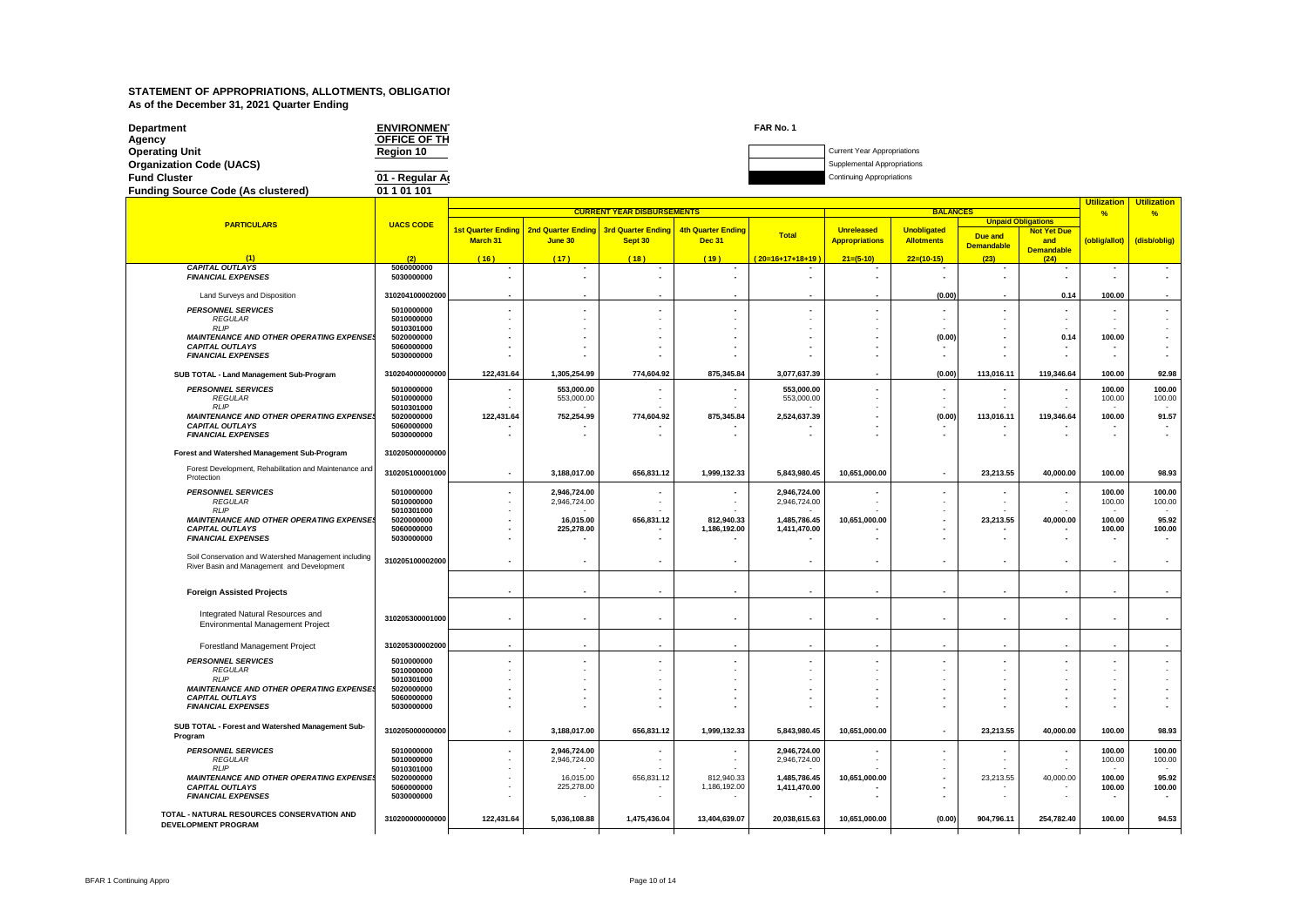| <b>Department</b>                         | <b>ENVIRONMEN</b>   | FAR No. 1 |                                    |
|-------------------------------------------|---------------------|-----------|------------------------------------|
| Agency                                    | <b>OFFICE OF TH</b> |           |                                    |
| <b>Operating Unit</b>                     | Region 10           |           | <b>Current Year Appropriations</b> |
| <b>Organization Code (UACS)</b>           |                     |           | Supplemental Appropriations        |
| <b>Fund Cluster</b>                       | 01 - Regular Ar     |           | <b>Continuing Appropriations</b>   |
| <b>Funding Source Code (As clustered)</b> | 01 1 01 101         |           |                                    |

|                                                                           |                          | <b>CURRENT YEAR DISBURSEMENTS</b><br><b>BALANCES</b> |                                      |                                      |                                            |                          |                                            |                                         |                          |                                    | Utilization<br>%                   | <b>Utilization</b><br>%            |
|---------------------------------------------------------------------------|--------------------------|------------------------------------------------------|--------------------------------------|--------------------------------------|--------------------------------------------|--------------------------|--------------------------------------------|-----------------------------------------|--------------------------|------------------------------------|------------------------------------|------------------------------------|
| <b>PARTICULARS</b>                                                        | <b>UACS CODE</b>         |                                                      |                                      |                                      |                                            |                          |                                            |                                         |                          | <b>Unpaid Obligations</b>          |                                    |                                    |
|                                                                           |                          | <b>1st Quarter Ending</b><br>March 31                | <b>2nd Quarter Ending</b><br>June 30 | <b>3rd Quarter Ending</b><br>Sept 30 | <b>4th Quarter Ending</b><br><b>Dec 31</b> | <b>Total</b>             | <b>Unreleased</b><br><b>Appropriations</b> | <b>Unobligated</b><br><b>Allotments</b> | Due and                  | <b>Not Yet Due</b><br>and          | (oblig/allot)                      | (disb/oblig)                       |
|                                                                           |                          |                                                      |                                      |                                      |                                            |                          |                                            |                                         | <b>Demandable</b>        | <b>Demandable</b>                  |                                    |                                    |
| (1)<br><b>CAPITAL OUTLAYS</b>                                             | (2)<br>5060000000        | (16)                                                 | (17)<br>٠                            | (18)                                 | (19)                                       | 20=16+17+18+19<br>٠      | $21=(5-10)$                                | $22=(10-15)$                            | (23)                     | (24)<br>$\overline{\phantom{a}}$   |                                    | $\overline{\phantom{a}}$           |
| <b>FINANCIAL EXPENSES</b>                                                 | 5030000000               |                                                      | $\overline{\phantom{a}}$             |                                      |                                            |                          |                                            |                                         | $\overline{\phantom{a}}$ | $\sim$                             |                                    | $\overline{\phantom{a}}$           |
|                                                                           | 310204100002000          |                                                      |                                      |                                      |                                            |                          |                                            | (0.00)                                  |                          | 0.14                               | 100.00                             |                                    |
| Land Surveys and Disposition                                              |                          |                                                      |                                      |                                      |                                            |                          |                                            |                                         |                          |                                    |                                    |                                    |
| <b>PERSONNEL SERVICES</b><br><b>REGULAR</b>                               | 5010000000<br>5010000000 |                                                      | ٠                                    |                                      |                                            | ٠                        |                                            |                                         | $\overline{\phantom{a}}$ | $\overline{\phantom{a}}$<br>$\sim$ |                                    |                                    |
| <b>RLIP</b>                                                               | 5010301000               |                                                      |                                      |                                      |                                            |                          |                                            |                                         |                          |                                    |                                    |                                    |
| <b>MAINTENANCE AND OTHER OPERATING EXPENSES</b><br><b>CAPITAL OUTLAYS</b> | 5020000000<br>5060000000 |                                                      |                                      |                                      |                                            |                          |                                            | (0.00)                                  |                          | 0.14                               | 100.00                             | $\overline{\phantom{0}}$           |
| <b>FINANCIAL EXPENSES</b>                                                 | 5030000000               |                                                      |                                      |                                      |                                            |                          |                                            |                                         |                          |                                    |                                    |                                    |
| SUB TOTAL - Land Management Sub-Program                                   | 310204000000000          | 122,431.64                                           | 1,305,254.99                         | 774,604.92                           | 875,345.84                                 | 3,077,637.39             |                                            | (0.00)                                  | 113,016.11               | 119,346.64                         | 100.00                             | 92.98                              |
| <b>PERSONNEL SERVICES</b>                                                 | 5010000000               |                                                      | 553,000.00                           |                                      |                                            | 553,000.00               |                                            |                                         |                          |                                    | 100.00                             | 100.00                             |
| <b>REGULAR</b>                                                            | 5010000000               |                                                      | 553,000.00                           |                                      |                                            | 553,000.00               |                                            |                                         |                          | $\overline{\phantom{a}}$           | 100.00                             | 100.00                             |
| <b>RLIP</b><br><b>MAINTENANCE AND OTHER OPERATING EXPENSES</b>            | 5010301000<br>5020000000 | 122,431.64                                           | 752,254.99                           | 774,604.92                           | 875,345.84                                 | 2,524,637.39             |                                            | (0.00)                                  | 113,016.11               | 119,346.64                         | 100.00                             | 91.57                              |
| <b>CAPITAL OUTLAYS</b>                                                    | 5060000000               |                                                      |                                      |                                      |                                            |                          |                                            |                                         |                          |                                    |                                    |                                    |
| <b>FINANCIAL EXPENSES</b>                                                 | 5030000000               |                                                      |                                      |                                      |                                            |                          |                                            |                                         |                          |                                    |                                    |                                    |
| Forest and Watershed Management Sub-Program                               | 310205000000000          |                                                      |                                      |                                      |                                            |                          |                                            |                                         |                          |                                    |                                    |                                    |
| Forest Development, Rehabilitation and Maintenance and<br>Protection      | 310205100001000          |                                                      | 3,188,017.00                         | 656,831.12                           | 1,999,132.33                               | 5,843,980.45             | 10,651,000.00                              |                                         | 23,213.55                | 40,000.00                          | 100.00                             | 98.93                              |
| <b>PERSONNEL SERVICES</b>                                                 | 5010000000               |                                                      | 2,946,724.00                         |                                      |                                            | 2,946,724.00             |                                            |                                         |                          |                                    | 100.00                             | 100.00                             |
| <b>REGULAR</b><br><b>RLIP</b>                                             | 5010000000               |                                                      | 2,946,724.00                         |                                      |                                            | 2,946,724.00             |                                            |                                         |                          |                                    | 100.00                             | 100.00                             |
| <b>MAINTENANCE AND OTHER OPERATING EXPENSES</b>                           | 5010301000<br>5020000000 |                                                      | 16,015.00                            | 656,831.12                           | 812,940.33                                 | 1,485,786.45             | 10,651,000.00                              |                                         | 23,213.55                | 40,000.00                          | $\overline{\phantom{a}}$<br>100.00 | $\sim$<br>95.92                    |
| <b>CAPITAL OUTLAYS</b>                                                    | 5060000000               |                                                      | 225,278.00                           |                                      | 1,186,192.00                               | 1,411,470.00             |                                            |                                         |                          |                                    | 100.00                             | 100.00                             |
| <b>FINANCIAL EXPENSES</b>                                                 | 5030000000               |                                                      |                                      |                                      |                                            |                          |                                            |                                         |                          |                                    |                                    | $\overline{\phantom{a}}$           |
| Soil Conservation and Watershed Management including                      | 310205100002000          |                                                      | $\overline{\phantom{a}}$             |                                      |                                            |                          |                                            |                                         |                          |                                    |                                    | $\overline{\phantom{a}}$           |
| River Basin and Management and Development                                |                          |                                                      |                                      |                                      |                                            |                          |                                            |                                         |                          |                                    |                                    |                                    |
| <b>Foreign Assisted Projects</b>                                          |                          |                                                      | $\overline{\phantom{a}}$             | $\overline{\phantom{a}}$             |                                            | $\overline{\phantom{a}}$ |                                            |                                         | $\blacksquare$           | $\overline{\phantom{a}}$           |                                    |                                    |
|                                                                           |                          |                                                      |                                      |                                      |                                            |                          |                                            |                                         |                          |                                    |                                    |                                    |
| Integrated Natural Resources and                                          | 310205300001000          |                                                      | $\blacksquare$                       |                                      |                                            | $\blacksquare$           | $\blacksquare$                             |                                         | $\overline{\phantom{a}}$ | $\overline{\phantom{a}}$           |                                    | $\blacksquare$                     |
| Environmental Management Project                                          |                          |                                                      |                                      |                                      |                                            |                          |                                            |                                         |                          |                                    |                                    |                                    |
| <b>Forestland Management Project</b>                                      | 310205300002000          | $\overline{\phantom{a}}$                             | $\overline{\phantom{a}}$             |                                      |                                            | $\overline{\phantom{a}}$ |                                            |                                         | $\overline{\phantom{a}}$ | $\sim$                             |                                    |                                    |
| <b>PERSONNEL SERVICES</b>                                                 | 5010000000               |                                                      |                                      |                                      |                                            |                          |                                            |                                         |                          |                                    |                                    |                                    |
| <b>REGULAR</b><br><b>RLIP</b>                                             | 5010000000<br>5010301000 |                                                      |                                      |                                      |                                            |                          |                                            |                                         |                          |                                    |                                    |                                    |
| <b>MAINTENANCE AND OTHER OPERATING EXPENSES</b>                           | 5020000000               |                                                      |                                      |                                      |                                            |                          |                                            |                                         |                          |                                    |                                    |                                    |
| <b>CAPITAL OUTLAYS</b><br><b>FINANCIAL EXPENSES</b>                       | 5060000000<br>5030000000 |                                                      |                                      |                                      |                                            |                          |                                            |                                         |                          |                                    |                                    |                                    |
|                                                                           |                          |                                                      |                                      |                                      |                                            |                          |                                            |                                         |                          |                                    |                                    |                                    |
| SUB TOTAL - Forest and Watershed Management Sub-<br>Program               | 310205000000000          | $\overline{\phantom{a}}$                             | 3,188,017.00                         | 656,831.12                           | 1,999,132.33                               | 5,843,980.45             | 10,651,000.00                              |                                         | 23,213.55                | 40,000.00                          | 100.00                             | 98.93                              |
| <b>PERSONNEL SERVICES</b>                                                 | 5010000000               |                                                      | 2,946,724.00                         |                                      |                                            | 2,946,724.00             |                                            |                                         |                          |                                    | 100.00                             | 100.00                             |
| <b>REGULAR</b><br><b>RLIP</b>                                             | 5010000000<br>5010301000 |                                                      | 2,946,724.00                         |                                      |                                            | 2,946,724.00             |                                            |                                         |                          |                                    | 100.00                             | 100.00                             |
| <b>MAINTENANCE AND OTHER OPERATING EXPENSES</b>                           | 5020000000               |                                                      | 16,015.00                            | 656,831.12                           | 812,940.33                                 | 1,485,786.45             | 10,651,000.00                              |                                         | 23,213.55                | 40,000.00                          | 100.00                             | 95.92                              |
| <b>CAPITAL OUTLAYS</b><br><b>FINANCIAL EXPENSES</b>                       | 5060000000<br>5030000000 |                                                      | 225,278.00                           |                                      | 1,186,192.00                               | 1,411,470.00             |                                            |                                         |                          |                                    | 100.00                             | 100.00<br>$\overline{\phantom{a}}$ |
|                                                                           |                          |                                                      |                                      |                                      |                                            |                          |                                            |                                         |                          |                                    |                                    |                                    |
| TOTAL - NATURAL RESOURCES CONSERVATION AND<br><b>DEVELOPMENT PROGRAM</b>  | 310200000000000          | 122,431.64                                           | 5,036,108.88                         | 1,475,436.04                         | 13,404,639.07                              | 20,038,615.63            | 10,651,000.00                              | (0.00)                                  | 904,796.11               | 254,782.40                         | 100.00                             | 94.53                              |
|                                                                           |                          |                                                      |                                      |                                      |                                            |                          |                                            |                                         |                          |                                    |                                    |                                    |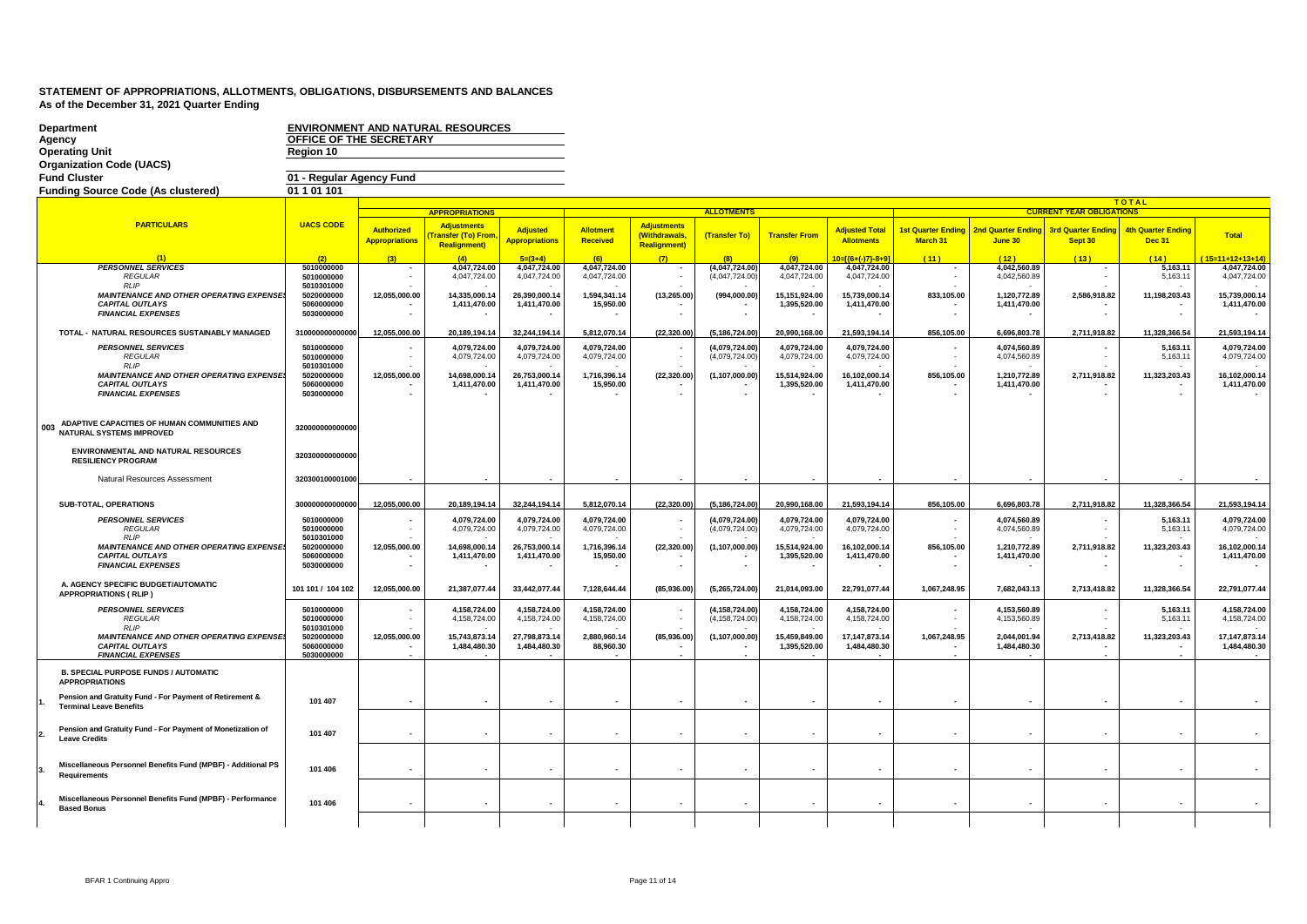| <b>Department</b><br>Agency<br><b>Operating Unit</b><br><b>Organization Code (UACS)</b><br><b>Fund Cluster</b> | OFFICE OF THE SECRETARY<br>Region 10<br>01 - Regular Agency Fund |                                            | <b>ENVIRONMENT AND NATURAL RESOURCES</b>                       |                                          |                              |                                                            |                                      |                               |                                            |                          |                                                    |                                      |                                            |                                  |
|----------------------------------------------------------------------------------------------------------------|------------------------------------------------------------------|--------------------------------------------|----------------------------------------------------------------|------------------------------------------|------------------------------|------------------------------------------------------------|--------------------------------------|-------------------------------|--------------------------------------------|--------------------------|----------------------------------------------------|--------------------------------------|--------------------------------------------|----------------------------------|
| <b>Funding Source Code (As clustered)</b>                                                                      | 01 1 01 1 01                                                     |                                            |                                                                |                                          |                              |                                                            |                                      |                               |                                            |                          |                                                    |                                      | <b>TOTAL</b>                               |                                  |
|                                                                                                                |                                                                  |                                            | <b>APPROPRIATIONS</b>                                          |                                          |                              |                                                            | <b>ALLOTMENTS</b>                    |                               |                                            |                          |                                                    | <b>CURRENT YEAR OBLIC</b>            |                                            |                                  |
| <b>PARTICULARS</b>                                                                                             | <b>UACS CODE</b>                                                 | <b>Authorized</b><br><b>Appropriations</b> | <b>Adjustments</b><br>ransfer (To) From<br><b>Realignment)</b> | <b>Adjusted</b><br><b>Appropriations</b> | <b>Allotment</b><br>Received | <b>Adjustments</b><br>(Withdrawals,<br><b>Realignment)</b> | (Transfer To)                        | <b>Transfer From</b>          | <b>Adjusted Total</b><br><b>Allotments</b> | March 31                 | 1st Quarter Ending   2nd Quarter Ending<br>June 30 | <b>3rd Quarter Ending</b><br>Sept 30 | <b>4th Quarter Ending</b><br><b>Dec 31</b> | <b>Total</b>                     |
| (1)                                                                                                            | (2)                                                              | (3)                                        | (4)                                                            | $5= (3+4)$                               | (6)                          | (7)                                                        | (8)                                  | (9)                           | $0=$ [{6+(-)7}-8+9]                        | (11)                     | (12)                                               | (13)                                 | (14)                                       | $15=11+12+13+14$                 |
| <b>PERSONNEL SERVICES</b><br><b>REGULAR</b>                                                                    | 5010000000<br>5010000000                                         |                                            | 4,047,724.00<br>4,047,724.00                                   | 4.047.724.00<br>4,047,724.00             | 4.047.724.00<br>4,047,724.00 | $\overline{\phantom{a}}$<br>$\blacksquare$                 | (4,047,724.00)<br>(4,047,724.00)     | 4.047.724.00<br>4,047,724.00  | 4.047.724.00<br>4,047,724.00               | $\blacksquare$           | 4.042.560.89<br>4,042,560.89                       | $\overline{\phantom{a}}$             | 5,163.11<br>5,163.11                       | 4.047.724.00<br>4,047,724.00     |
| <b>RLIP</b><br>MAINTENANCE AND OTHER OPERATING EXPENSE                                                         | 5010301000<br>5020000000                                         | 12,055,000.00                              | 14,335,000.14                                                  | 26,390,000.14                            | 1,594,341.14                 | (13, 265.00)                                               | (994,000.00)                         | 15,151,924.00                 | 15,739,000.14                              | 833,105.00               | 1,120,772.89                                       | 2,586,918.82                         | 11,198,203.43                              | 15,739,000.14                    |
| <b>CAPITAL OUTLAYS</b>                                                                                         | 5060000000                                                       |                                            | 1,411,470.00                                                   | 1,411,470.00                             | 15,950.00                    |                                                            |                                      | 1,395,520.00                  | 1,411,470.00                               |                          | 1,411,470.00                                       |                                      |                                            | 1,411,470.00                     |
| <b>FINANCIAL EXPENSES</b>                                                                                      | 5030000000                                                       |                                            |                                                                |                                          |                              |                                                            |                                      |                               |                                            | $\overline{\phantom{a}}$ |                                                    |                                      |                                            |                                  |
| TOTAL - NATURAL RESOURCES SUSTAINABLY MANAGED                                                                  | 310000000000000                                                  | 12,055,000.00                              | 20,189,194.14                                                  | 32.244.194.14                            | 5,812,070.14                 | (22, 320.00)                                               | (5, 186, 724.00)                     | 20,990,168.00                 | 21,593,194.14                              | 856,105.00               | 6,696,803.78                                       | 2.711.918.82                         | 11.328.366.54                              | 21,593,194.14                    |
| <b>PERSONNEL SERVICES</b><br><b>REGULAR</b>                                                                    | 5010000000<br>5010000000                                         |                                            | 4,079,724.00<br>4,079,724.00                                   | 4,079,724.00<br>4,079,724.00             | 4,079,724.00<br>4,079,724.00 |                                                            | (4,079,724.00)<br>(4,079,724.00)     | 4,079,724.00<br>4,079,724.00  | 4,079,724.00<br>4,079,724.00               | $\sim$                   | 4,074,560.89<br>4,074,560.89                       |                                      | 5,163.11<br>5,163.11                       | 4,079,724.00<br>4,079,724.00     |
| RLP<br>MAINTENANCE AND OTHER OPERATING EXPENSE                                                                 | 5010301000<br>5020000000                                         | 12,055,000.00                              | 14,698,000.14                                                  | 26,753,000.14                            | 1,716,396.14                 | (22, 320.00)                                               | (1, 107, 000.00)                     | 15,514,924.00                 | 16,102,000.14                              | 856,105.00               | 1,210,772.89                                       | 2,711,918.82                         | 11,323,203.43                              | 16,102,000.14                    |
| <b>CAPITAL OUTLAYS</b>                                                                                         | 5060000000                                                       |                                            | 1,411,470.00                                                   | 1,411,470.00                             | 15,950.00                    |                                                            |                                      | 1,395,520.00                  | 1,411,470.00                               |                          | 1,411,470.00                                       |                                      |                                            | 1,411,470.00                     |
| <b>FINANCIAL EXPENSES</b>                                                                                      | 5030000000                                                       |                                            |                                                                |                                          |                              |                                                            |                                      |                               |                                            |                          |                                                    |                                      |                                            |                                  |
| ADAPTIVE CAPACITIES OF HUMAN COMMUNITIES AND<br>003<br><b>NATURAL SYSTEMS IMPROVED</b>                         | 320000000000000                                                  |                                            |                                                                |                                          |                              |                                                            |                                      |                               |                                            |                          |                                                    |                                      |                                            |                                  |
| <b>ENVIRONMENTAL AND NATURAL RESOURCES</b><br><b>RESILIENCY PROGRAM</b>                                        | 320300000000000                                                  |                                            |                                                                |                                          |                              |                                                            |                                      |                               |                                            |                          |                                                    |                                      |                                            |                                  |
| Natural Resources Assessment                                                                                   | 320300100001000                                                  |                                            |                                                                |                                          |                              |                                                            |                                      |                               |                                            |                          |                                                    |                                      |                                            |                                  |
| SUB-TOTAL, OPERATIONS                                                                                          | 300000000000000                                                  | 12,055,000.00                              | 20,189,194.14                                                  | 32,244,194.14                            | 5,812,070.14                 | (22, 320.00)                                               | (5, 186, 724.00)                     | 20,990,168.00                 | 21,593,194.14                              | 856,105.00               | 6,696,803.78                                       | 2,711,918.82                         | 11,328,366.54                              | 21,593,194.14                    |
| <b>PERSONNEL SERVICES</b><br><b>REGULAR</b>                                                                    | 5010000000<br>5010000000                                         |                                            | 4.079.724.00<br>4,079,724.00                                   | 4.079.724.00<br>4,079,724.00             | 4.079.724.00<br>4,079,724.00 | $\sim$                                                     | (4.079.724.00)<br>(4,079,724.00)     | 4.079.724.00<br>4,079,724.00  | 4.079.724.00<br>4,079,724.00               | $\sim$                   | 4.074.560.89<br>4,074,560.89                       |                                      | 5.163.11<br>5,163.11                       | 4.079.724.00<br>4,079,724.00     |
| <b>RLIP</b><br>MAINTENANCE AND OTHER OPERATING EXPENSE                                                         | 5010301000<br>5020000000                                         | 12,055,000.00                              | 14,698,000.14                                                  | 26,753,000.14                            | 1,716,396.14                 | (22,320.00                                                 | (1, 107, 000.00)                     | 15,514,924.00                 | 16,102,000.14                              | 856,105.00               | 1,210,772.89                                       | 2,711,918.82                         | 11,323,203.43                              | 16,102,000.14                    |
| <b>CAPITAL OUTLAYS</b><br><b>FINANCIAL EXPENSES</b>                                                            | 5060000000<br>5030000000                                         |                                            | 1,411,470.00                                                   | 1,411,470.00                             | 15,950.00                    | $\overline{\phantom{a}}$                                   |                                      | 1,395,520.00                  | 1,411,470.00                               | $\overline{\phantom{a}}$ | 1,411,470.00                                       |                                      |                                            | 1,411,470.00                     |
|                                                                                                                |                                                                  |                                            |                                                                |                                          |                              |                                                            |                                      |                               |                                            |                          |                                                    |                                      |                                            |                                  |
| A. AGENCY SPECIFIC BUDGET/AUTOMATIC<br><b>APPROPRIATIONS (RLIP)</b>                                            | 101 101 / 104 102                                                | 12,055,000.00                              | 21,387,077.44                                                  | 33,442,077.44                            | 7,128,644.44                 | (85,936.00)                                                | (5,265,724.00)                       | 21,014,093.00                 | 22,791,077.44                              | 1,067,248.95             | 7,682,043.13                                       | 2,713,418.82                         | 11,328,366.54                              | 22,791,077.44                    |
| <b>PERSONNEL SERVICES</b><br><b>REGULAR</b><br><b>RLIP</b>                                                     | 5010000000<br>5010000000<br>5010301000                           |                                            | 4.158.724.00<br>4,158,724.00                                   | 4.158.724.00<br>4,158,724.00             | 4.158.724.00<br>4,158,724.00 |                                                            | (4, 158, 724.00)<br>(4, 158, 724.00) | 4,158,724.00<br>4,158,724.00  | 4.158.724.00<br>4,158,724.00               | $\mathbf{r}$             | 4.153.560.89<br>4,153,560.89                       |                                      | 5.163.11<br>5,163.1                        | 4.158.724.00<br>4,158,724.00     |
| MAINTENANCE AND OTHER OPERATING EXPENSE<br><b>CAPITAL OUTLAYS</b>                                              | 5020000000<br>5060000000                                         | 12,055,000.00                              | 15,743,873.14<br>1,484,480.30                                  | 27,798,873.14<br>1,484,480.30            | 2,880,960.14<br>88,960.30    | (85,936.00                                                 | (1,107,000.00)                       | 15,459,849.00<br>1,395,520.00 | 17, 147, 873. 14<br>1,484,480.30           | 1,067,248.95             | 2,044,001.94<br>1,484,480.30                       | 2,713,418.82                         | 11,323,203.43                              | 17, 147, 873. 14<br>1,484,480.30 |
| <b>FINANCIAL EXPENSES</b>                                                                                      | 5030000000                                                       |                                            |                                                                |                                          |                              |                                                            |                                      |                               |                                            |                          |                                                    |                                      |                                            |                                  |
| <b>B. SPECIAL PURPOSE FUNDS / AUTOMATIC</b><br><b>APPROPRIATIONS</b>                                           |                                                                  |                                            |                                                                |                                          |                              |                                                            |                                      |                               |                                            |                          |                                                    |                                      |                                            |                                  |
| Pension and Gratuity Fund - For Payment of Retirement &<br><b>Terminal Leave Benefits</b>                      | 101 407                                                          |                                            | $\overline{\phantom{a}}$                                       | $\overline{\phantom{a}}$                 |                              |                                                            |                                      | $\overline{\phantom{a}}$      |                                            | $\overline{\phantom{a}}$ | $\blacksquare$                                     |                                      |                                            |                                  |
| Pension and Gratuity Fund - For Payment of Monetization of<br><b>Leave Credits</b>                             | 101 407                                                          |                                            | $\overline{\phantom{a}}$                                       |                                          |                              | $\overline{\phantom{a}}$                                   | $\overline{\phantom{a}}$             |                               | $\sim$                                     | $\overline{\phantom{a}}$ | $\overline{\phantom{a}}$                           | $\overline{\phantom{a}}$             | $\overline{\phantom{a}}$                   |                                  |
| Miscellaneous Personnel Benefits Fund (MPBF) - Additional PS<br><b>Requirements</b>                            | 101 406                                                          |                                            | $\overline{\phantom{a}}$                                       |                                          |                              |                                                            |                                      |                               |                                            | $\overline{\phantom{a}}$ | $\overline{\phantom{a}}$                           |                                      |                                            |                                  |
| Miscellaneous Personnel Benefits Fund (MPBF) - Performance<br><b>Based Bonus</b>                               | 101 406                                                          |                                            | $\overline{\phantom{a}}$                                       |                                          |                              |                                                            |                                      |                               |                                            | $\overline{\phantom{a}}$ | $\overline{\phantom{a}}$                           |                                      |                                            |                                  |
|                                                                                                                |                                                                  |                                            |                                                                |                                          |                              |                                                            |                                      |                               |                                            |                          |                                                    |                                      |                                            |                                  |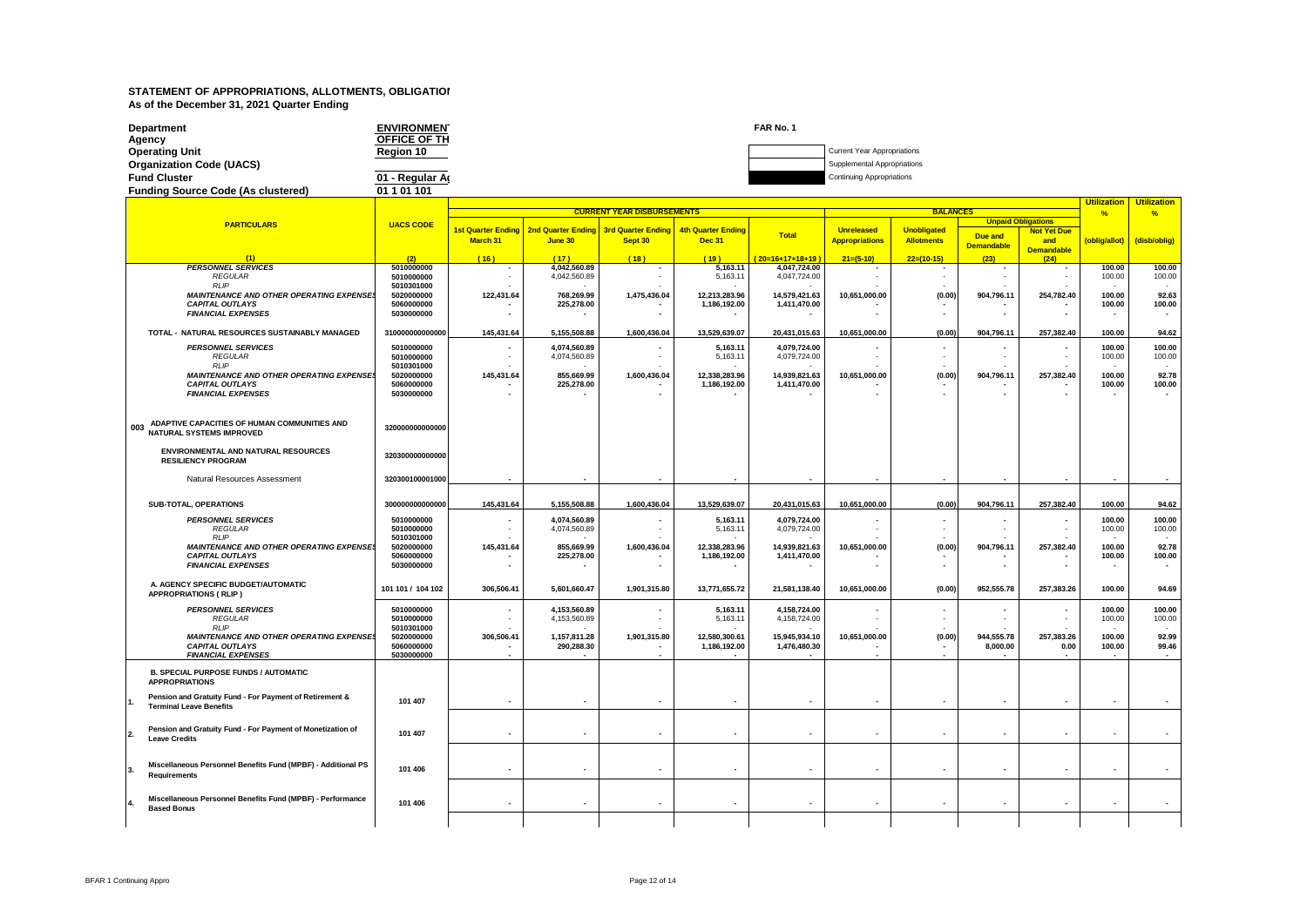| <b>Department</b><br>Agency               | <b>ENVIRONMEN</b><br>OFFICE OF TH | FAR No. 1 |                                    |
|-------------------------------------------|-----------------------------------|-----------|------------------------------------|
| <b>Operating Unit</b>                     | Region 10                         |           | <b>Current Year Appropriations</b> |
| <b>Organization Code (UACS)</b>           |                                   |           | Supplemental Appropriations        |
| <b>Fund Cluster</b>                       | 01 - Regular Ar                   |           | <b>Continuing Appropriations</b>   |
| <b>Funding Source Code (As clustered)</b> | 01 1 01 101                       |           |                                    |

#### **(2) PARTICULARS UACS CODE (1) PERSONNEL SERVICES**<br> *PECHIAR*<br>
5010000000 *REGULAR* **5010000000** *RLIP* **5010301000** *MAINTENANCE AND OTHER OPERATING EXPENSES* **5020000000** *CAPITAL OUTLAYS* **5060000000** *FINANCIAL EXPENSES* **5030000000 TOTAL - NATURAL RESOURCES SUSTAINABLY MANAGED 310000000000000** *PERSONNEL SERVICES* 5010000000<br>*PEGULAR* 5010000000 *REGULAR* **5010000000** *RLIP* **5010301000** *MAINTENANCE AND OTHER OPERATING EXPENSES* **5020000000** *CAPITAL OUTLAYS* **5060000000 FINANCIAL EXPENSES 003 : ADAPTIVE CAPACITIES OF HUMAN COMMUNITIES AND NATURAL SYSTEMS IMPROVED <sup>320000000000000</sup> ENVIRONMENTAL AND NATURAL RESOURCES RESILIENCY PROGRAM <sup>320300000000000</sup>** Natural Resources Assessment **320300100001000 SUB-TOTAL, OPERATIONS 300000000000000** *PERSONNEL SERVICES* **5010000000** *REGULAR* **5010000000** *RLIP* **5010301000** *MAINTENANCE AND OTHER OPERATING EXPENSES* **5020000000** *CAPITAL OUTLAYS* **5060000000** *FINANCIAL EXPENSES* **5030000000 A. AGENCY SPECIFIC BUDGET/AUTOMATIC**  A. AGENCY SPECIFIC BUDGET/AUTOMATIC<br>APPROPRIATIONS ( RLIP ) *PERSONNEL SERVICES* **5010000000** *REGULAR* **5010000000** *RLIP* **5010301000** *MAINTENANCE AND OTHER OPERATING EXPENSES* **5020000000** *CAPITAL OUTLAYS* **5060000000 FINANCIAL EXPENSES B. SPECIAL PURPOSE FUNDS / AUTOMATIC APPROPRIATIONS 1. Pension and Gratuity Fund - For Payment of Retirement & Terminal Leave Benefits 101 407 2. Pension and Gratuity Fund - For Payment of Monetization of**  Pension and Gratuity Fund - For Payment of Monetization of **101 407**<br>Leave Credits **3. Miscellaneous Personnel Benefits Fund (MPBF) - Additional PS**  Miscellaneous Personnel Benefits Fund (MPBF) - Additional PS<br>Requirements **101** 406 **4. Miscellaneous Personnel Benefits Fund (MPBF) - Performance Based Bonus 101 406 Utilization Utilization % % Due and Demandable Not Yet Due and Demandable (oblig/allot) (disb/oblig) ( 16 ) ( 17 ) ( 18 ) ( 19 ) ( 20=16+17+18+19 ) 21=(5-10) 22=(10-15) (23) (24) CURRENT YEAR DISBURSEMENTS BALANCES 1st Quarter Ending March 31 2nd Quarter Ending June 30 3rd Quarter Ending Sept 30 4th Quarter Ending Dec 31 Total Unreleased Appropriations Unobligated Allotments Unpaid** 100.00 | 4,042,560.89 | - 5,163.11 | 4,047,724.00 | - | - | - | - | 100.00 | 100.00 | - | 100.00 | - | 100.00 - | 4,042,560.89 | - | 5,163.11 | 4,047,724.00 | - | - | - | - | 100.00 | 100.00 - - - - - - - - - - -  **122,431.64 768,269.99 1,475,436.04 12,213,283.96 14,579,421.63 10,651,000.00 (0.00) 904,796.11 254,782.40 100.00 92.63** 1,186,192.00 | 1,411,470.00 | - | - | - | 100.00 | 100.00 | 100.00 | 1,411,470.00 | 100.00 | - | - 100.00 | - |  **- - - - - - - - - - - 145,431.64 5,155,508.88 1,600,436.04 13,529,639.07 20,431,015.63 10,651,000.00 (0.00) 904,796.11 257,382.40 100.00 94.62** - | 4,074,560.89 | - | 5,163.11 | 4,079,724.00 | - | - | - | - | 100.00 | 100.00 - | 4,074,560.89 | - | 5,163.11 | 4,079,724.00 | - | - | - | - | 100.00 | 100.00 - - - - - - - - - - -  **145,431.64 855,669.99 1,600,436.04 12,338,283.96 14,939,821.63 10,651,000.00 (0.00) 904,796.11 257,382.40 100.00 92.78** 1,186,192.00 | 1,411,470.00 | - | - | - | 100.00 | 100.00 | 100.00 | 1,411,470.00 | 100.00 | - | - 100.00 | - |  **- - - - - - - - - - - - - - - - - - - - - - 145,431.64 5,155,508.88 1,600,436.04 13,529,639.07 20,431,015.63 10,651,000.00 (0.00) 904,796.11 257,382.40 100.00 94.62** - | 4,074,560.89 | - | 5,163.11 | 4,079,724.00 | - | - | - | - | 100.00 | 100.00 - 4,074,560.89 - - 5,163.11 - 4,079,724.00 - - - - - - - 100.00 - 100.00 - 100.00 - - - - - - - - - - -  **145,431.64 855,669.99 1,600,436.04 12,338,283.96 14,939,821.63 10,651,000.00 (0.00) 904,796.11 257,382.40 100.00 92.78** 1,186,192.00 | 1,411,470.00 | - | - | - | 100.00 | 100.00 | 100.00 | 1,411,470.00 | 100.00 | - | - | 100.00 |  **- - - - - - - - - - - 306,506.41 5,601,660.47 1,901,315.80 13,771,655.72 21,581,138.40 10,651,000.00 (0.00) 952,555.78 257,383.26 100.00 94.69** - | 4,153,560.89 | - | 5,163.11 | 4,158,724.00 | - | - | - | - | 100.00 | 100.00 - | 4,153,560.89 | - | 5,163.11 | 4,158,724.00 | - | - | - | - | 100.00 | 100.00 - - - - - - - - - - -  **306,506.41 1,157,811.28 1,901,315.80 12,580,300.61 15,945,934.10 10,651,000.00 (0.00) 944,555.78 257,383.26 100.00 92.99 - | 290,288.30 | - | 1,186,192.00 | 1,476,480.30 | - | - | 8,000.00 | 0.00 | 100.00 | 99.46 - - - - - - - - - - - - - - - - - - - - - - - - - - - - - - - - - - - - - - - - - - - - - - - - - - - - - - -**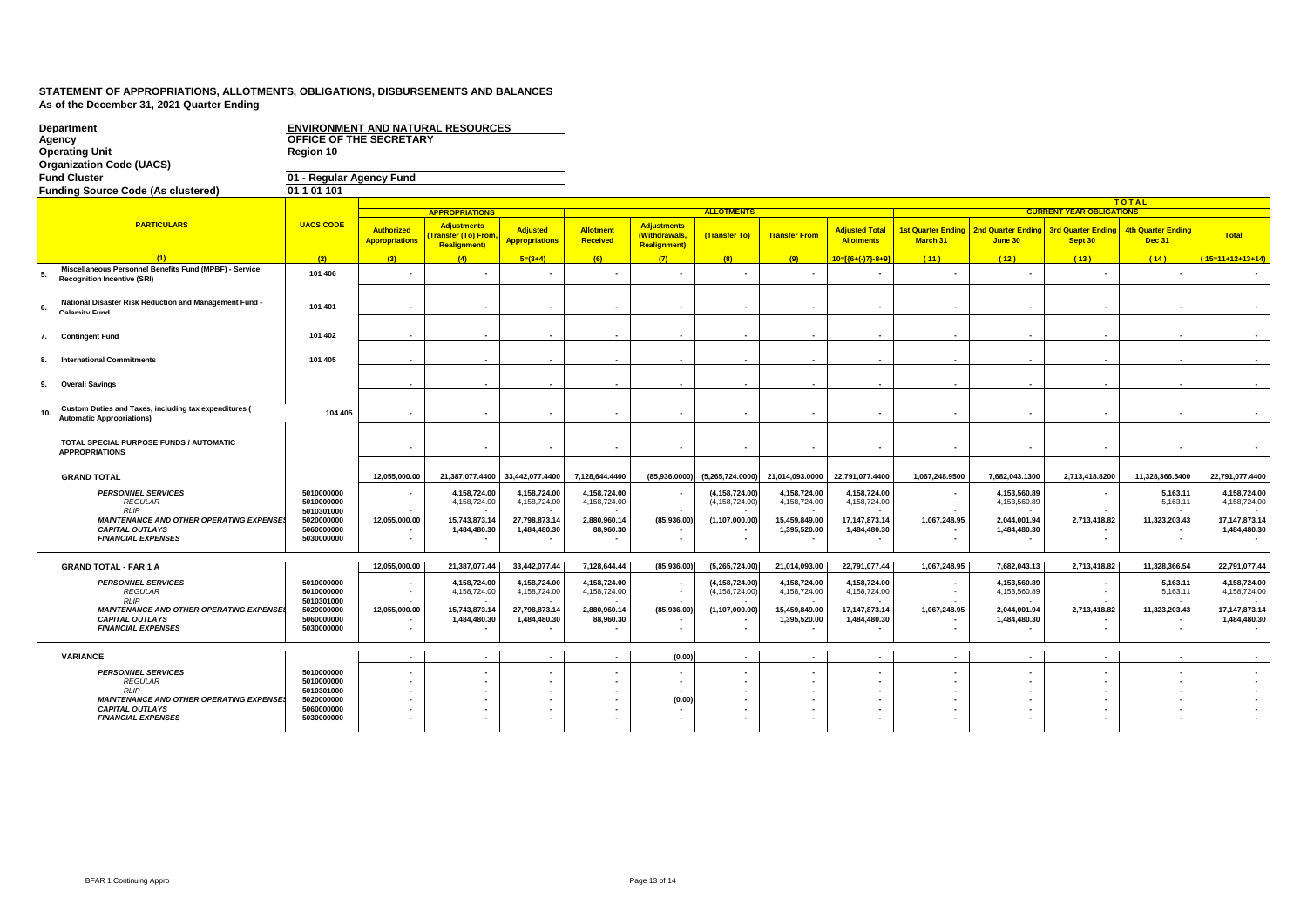| Department<br>Agency<br><b>Operating Unit</b><br><b>Organization Code (UACS)</b>                                                                            | OFFICE OF THE SECRETARY<br>Region 10                                             |                                            | <b>ENVIRONMENT AND NATURAL RESOURCES</b>                                |                                                               |                                                           |                                                                  |                                                          |                                                               |                                                                  |                                       |                                                              |                                                                                       |                                            |                                                                  |
|-------------------------------------------------------------------------------------------------------------------------------------------------------------|----------------------------------------------------------------------------------|--------------------------------------------|-------------------------------------------------------------------------|---------------------------------------------------------------|-----------------------------------------------------------|------------------------------------------------------------------|----------------------------------------------------------|---------------------------------------------------------------|------------------------------------------------------------------|---------------------------------------|--------------------------------------------------------------|---------------------------------------------------------------------------------------|--------------------------------------------|------------------------------------------------------------------|
| <b>Fund Cluster</b>                                                                                                                                         | 01 - Regular Agency Fund                                                         |                                            |                                                                         |                                                               |                                                           |                                                                  |                                                          |                                                               |                                                                  |                                       |                                                              |                                                                                       |                                            |                                                                  |
| <b>Funding Source Code (As clustered)</b>                                                                                                                   | 01 1 01 101                                                                      |                                            |                                                                         |                                                               |                                                           |                                                                  |                                                          |                                                               |                                                                  |                                       |                                                              |                                                                                       |                                            |                                                                  |
|                                                                                                                                                             |                                                                                  |                                            |                                                                         |                                                               |                                                           |                                                                  |                                                          |                                                               |                                                                  |                                       |                                                              |                                                                                       | <b>TOTAL</b>                               |                                                                  |
|                                                                                                                                                             |                                                                                  |                                            | <b>APPROPRIATIONS</b>                                                   |                                                               |                                                           |                                                                  | <b>ALLOTMENTS</b>                                        |                                                               |                                                                  |                                       |                                                              | <b>CURRENT YEAR OBLIGATIONS</b>                                                       |                                            |                                                                  |
| <b>PARTICULARS</b>                                                                                                                                          | <b>UACS CODE</b>                                                                 | <b>Authorized</b><br><b>Appropriations</b> | <b>Adjustments</b><br><b>Fransfer (To) From</b><br><b>Realignment</b> ) | <b>Adjusted</b><br><b>Appropriations</b>                      | <b>Allotment</b><br>Received                              | <b>Adjustments</b><br><b>(Withdrawals</b><br><b>Realignment)</b> | (Transfer To)                                            | <b>Transfer From</b>                                          | <b>Adjusted Total</b><br><b>Allotments</b>                       | <b>1st Quarter Ending</b><br>March 31 | 2nd Quarter Ending<br>June 30                                | <b>3rd Quarter Ending</b><br>Sept 30                                                  | <b>4th Quarter Ending</b><br><b>Dec 31</b> | <b>Total</b>                                                     |
| (1)                                                                                                                                                         | (2)                                                                              | (3)                                        | (4)                                                                     | $5=(3+4)$                                                     | (6)                                                       | (7)                                                              | (8)                                                      | (9)                                                           | $10 = 1(6 + (-17) - 8 + 91)$                                     | (11)                                  | (12)                                                         | (13)                                                                                  | (14)                                       | $15=11+12+13+14$                                                 |
| Miscellaneous Personnel Benefits Fund (MPBF) - Service<br><b>Recognition Incentive (SRI)</b>                                                                | 101 406                                                                          |                                            |                                                                         |                                                               |                                                           |                                                                  |                                                          |                                                               |                                                                  |                                       | $\overline{\phantom{a}}$                                     |                                                                                       |                                            |                                                                  |
| National Disaster Risk Reduction and Management Fund -<br><b>Calamity Fund</b>                                                                              | 101 401                                                                          |                                            |                                                                         |                                                               |                                                           |                                                                  |                                                          |                                                               |                                                                  |                                       | $\sim$                                                       |                                                                                       |                                            |                                                                  |
| <b>Contingent Fund</b>                                                                                                                                      | 101 402                                                                          |                                            |                                                                         |                                                               |                                                           |                                                                  |                                                          |                                                               |                                                                  |                                       |                                                              |                                                                                       |                                            |                                                                  |
| <b>International Commitments</b>                                                                                                                            | 101 405                                                                          |                                            |                                                                         |                                                               |                                                           |                                                                  |                                                          |                                                               |                                                                  |                                       | $\sim$                                                       |                                                                                       |                                            |                                                                  |
| <b>Overall Savings</b><br>9.                                                                                                                                |                                                                                  |                                            |                                                                         |                                                               |                                                           |                                                                  |                                                          |                                                               |                                                                  |                                       |                                                              |                                                                                       |                                            |                                                                  |
| Custom Duties and Taxes, including tax expenditures (<br>10.<br><b>Automatic Appropriations)</b>                                                            | 104 405                                                                          |                                            |                                                                         |                                                               | $\overline{\phantom{a}}$                                  |                                                                  |                                                          |                                                               |                                                                  |                                       | $\sim$                                                       |                                                                                       | $\blacksquare$                             |                                                                  |
| TOTAL SPECIAL PURPOSE FUNDS / AUTOMATIC<br><b>APPROPRIATIONS</b>                                                                                            |                                                                                  |                                            |                                                                         |                                                               |                                                           |                                                                  |                                                          |                                                               |                                                                  |                                       | $\overline{\phantom{a}}$                                     |                                                                                       |                                            |                                                                  |
| <b>GRAND TOTAL</b>                                                                                                                                          |                                                                                  | 12,055,000.00                              | 21,387,077.4400                                                         | 33,442,077.4400                                               | 7,128,644.4400                                            | (85,936.0000)                                                    | (5,265,724.0000)                                         | 21,014,093.0000                                               | 22,791,077.4400                                                  | 1,067,248.9500                        | 7,682,043.1300                                               | 2,713,418.8200                                                                        | 11,328,366.5400                            | 22,791,077.4400                                                  |
| <b>PERSONNEL SERVICES</b><br><b>REGULAR</b><br>RIP<br><b>MAINTENANCE AND OTHER OPERATING EXPENSE</b><br><b>CAPITAL OUTLAYS</b><br><b>FINANCIAL EXPENSES</b> | 5010000000<br>5010000000<br>5010301000<br>5020000000<br>5060000000<br>5030000000 | 12,055,000.00                              | 4,158,724.00<br>4,158,724.00<br>15,743,873.14<br>1,484,480.30           | 4,158,724.00<br>4,158,724.00<br>27,798,873.14<br>1,484,480.30 | 4,158,724.00<br>4,158,724.00<br>2,880,960.14<br>88,960.30 | (85,936.00)                                                      | (4, 158, 724.00)<br>(4, 158, 724.00)<br>(1, 107, 000.00) | 4,158,724.00<br>4,158,724.00<br>15,459,849.00<br>1,395,520.00 | 4,158,724.00<br>4,158,724.00<br>17, 147, 873. 14<br>1,484,480.30 | 1,067,248.95                          | 4,153,560.89<br>4,153,560.89<br>2,044,001.94<br>1,484,480.30 | $\sim$<br>2,713,418.82                                                                | 5.163.11<br>5,163.11<br>11,323,203.43      | 4,158,724.00<br>4,158,724.00<br>17, 147, 873. 14<br>1,484,480.30 |
|                                                                                                                                                             |                                                                                  |                                            |                                                                         |                                                               |                                                           |                                                                  |                                                          |                                                               |                                                                  |                                       |                                                              |                                                                                       |                                            |                                                                  |
| <b>GRAND TOTAL - FAR 1 A</b>                                                                                                                                |                                                                                  | 12,055,000.00                              | 21,387,077.44                                                           | 33,442,077.44                                                 | 7,128,644.44                                              | (85,936.00)                                                      | (5,265,724.00)                                           | 21,014,093.00                                                 | 22,791,077.44                                                    | 1,067,248.95                          | 7,682,043.13                                                 | 2,713,418.82                                                                          | 11,328,366.54                              | 22,791,077.44                                                    |
| <b>PERSONNEL SERVICES</b><br><b>REGULAR</b><br>RI IP                                                                                                        | 5010000000<br>5010000000<br>5010301000                                           |                                            | 4,158,724.00<br>4,158,724.00                                            | 4,158,724.00<br>4,158,724.00                                  | 4,158,724.00<br>4,158,724.00                              |                                                                  | (4, 158, 724.00)<br>(4, 158, 724.00)                     | 4,158,724.00<br>4,158,724.00                                  | 4,158,724.00<br>4,158,724.00                                     |                                       | 4,153,560.89<br>4,153,560.89                                 |                                                                                       | 5,163.11<br>5,163.11                       | 4,158,724.00<br>4,158,724.00                                     |
| <b>MAINTENANCE AND OTHER OPERATING EXPENSE</b><br><b>CAPITAL OUTLAYS</b><br><b>FINANCIAL EXPENSES</b>                                                       | 5020000000<br>5060000000<br>5030000000                                           | 12,055,000.00<br>$\sim$                    | 15,743,873.14<br>1,484,480.30                                           | 27,798,873.14<br>1,484,480.30                                 | 2,880,960.14<br>88,960.30                                 | (85,936.00)<br>$\overline{\phantom{a}}$<br>$\overline{a}$        | (1,107,000.00)                                           | 15,459,849.00<br>1,395,520.00                                 | 17, 147, 873. 14<br>1,484,480.30                                 | 1,067,248.95                          | 2,044,001.94<br>1,484,480.30                                 | 2,713,418.82<br>$\overline{\phantom{a}}$<br>$\overline{\phantom{a}}$                  | 11,323,203.43<br>$\blacksquare$            | 17, 147, 873. 14<br>1,484,480.30                                 |
| <b>VARIANCE</b>                                                                                                                                             |                                                                                  | $\overline{\phantom{a}}$                   |                                                                         | $\overline{\phantom{a}}$                                      |                                                           | (0.00)                                                           |                                                          |                                                               |                                                                  | $\overline{\phantom{a}}$              | $\sim$                                                       | $\sim$                                                                                | $\blacksquare$                             |                                                                  |
| <b>PERSONNEL SERVICES</b><br><b>REGULAR</b><br><b>RLIP</b><br><b>MAINTENANCE AND OTHER OPERATING EXPENSE.</b><br><b>CAPITAL OUTLAYS</b>                     | 5010000000<br>5010000000<br>5010301000<br>5020000000<br>5060000000               |                                            |                                                                         |                                                               |                                                           | $\overline{\phantom{a}}$<br>(0.00)                               |                                                          |                                                               |                                                                  |                                       | $\overline{\phantom{a}}$                                     | $\overline{\phantom{0}}$<br>$\overline{\phantom{0}}$<br>$\overline{\phantom{a}}$<br>٠ | $\overline{\phantom{a}}$                   |                                                                  |
| <b>FINANCIAL EXPENSES</b>                                                                                                                                   | 5030000000                                                                       |                                            |                                                                         |                                                               |                                                           |                                                                  |                                                          |                                                               |                                                                  |                                       |                                                              |                                                                                       |                                            |                                                                  |